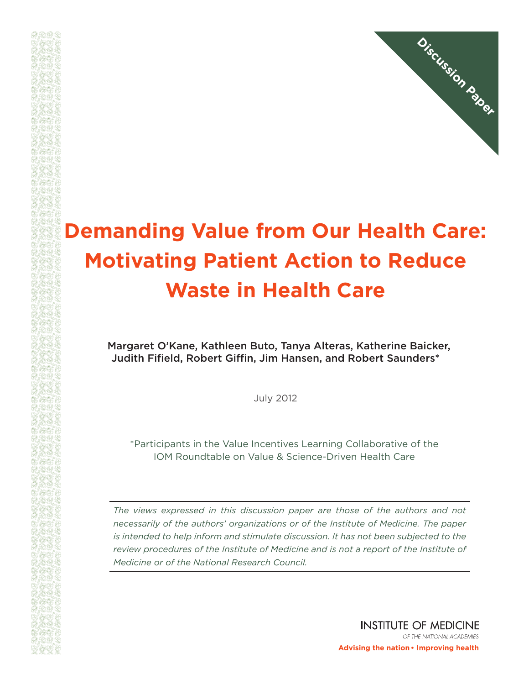

## **Demanding Value from Our Health Care: Motivating Patient Action to Reduce Waste in Health Care**

Margaret O'Kane, Kathleen Buto, Tanya Alteras, Katherine Baicker, Judith Fifield, Robert Giffin, Jim Hansen, and Robert Saunders\*

July 2012

\*Participants in the Value Incentives Learning Collaborative of the IOM Roundtable on Value & Science-Driven Health Care

*The views expressed in this discussion paper are those of the authors and not necessarily of the authors' organizations or of the Institute of Medicine. The paper is intended to help inform and stimulate discussion. It has not been subjected to the review procedures of the Institute of Medicine and is not a report of the Institute of Medicine or of the National Research Council.*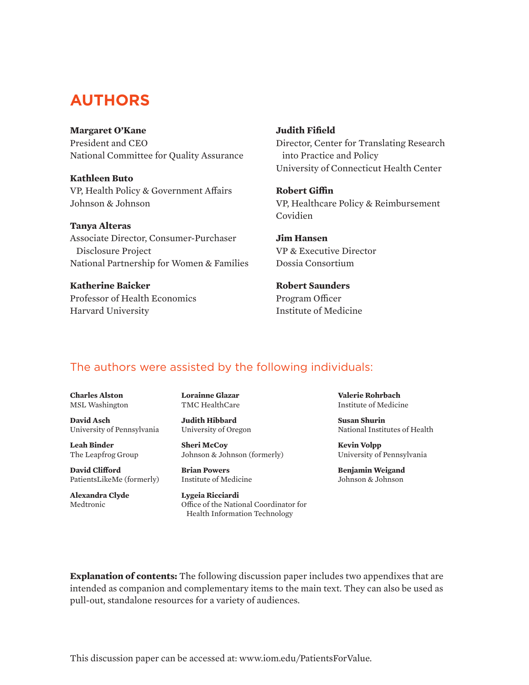## **AUTHORS**

#### **Margaret O'Kane**

President and CEO National Committee for Quality Assurance

**Kathleen Buto** VP, Health Policy & Government Affairs Johnson & Johnson

**Tanya Alteras** Associate Director, Consumer-Purchaser Disclosure Project National Partnership for Women & Families

**Katherine Baicker** Professor of Health Economics Harvard University

#### **Judith Fifield**

Director, Center for Translating Research into Practice and Policy University of Connecticut Health Center

**Robert Giffin** VP, Healthcare Policy & Reimbursement Covidien

**Jim Hansen** VP & Executive Director Dossia Consortium

#### **Robert Saunders** Program Officer Institute of Medicine

## The authors were assisted by the following individuals:

**Charles Alston** MSL Washington

**David Asch** University of Pennsylvania

**Leah Binder** The Leapfrog Group

**David Clifford** PatientsLikeMe (formerly)

**Alexandra Clyde** Medtronic

**Lorainne Glazar** TMC HealthCare

**Judith Hibbard** University of Oregon

**Sheri McCoy** Johnson & Johnson (formerly)

**Brian Powers** Institute of Medicine

**Lygeia Ricciardi** Office of the National Coordinator for Health Information Technology

**Valerie Rohrbach** Institute of Medicine

**Susan Shurin** National Institutes of Health

**Kevin Volpp** University of Pennsylvania

**Benjamin Weigand** Johnson & Johnson

**Explanation of contents:** The following discussion paper includes two appendixes that are intended as companion and complementary items to the main text. They can also be used as pull-out, standalone resources for a variety of audiences.

This discussion paper can be accessed at: www.iom.edu/PatientsForValue.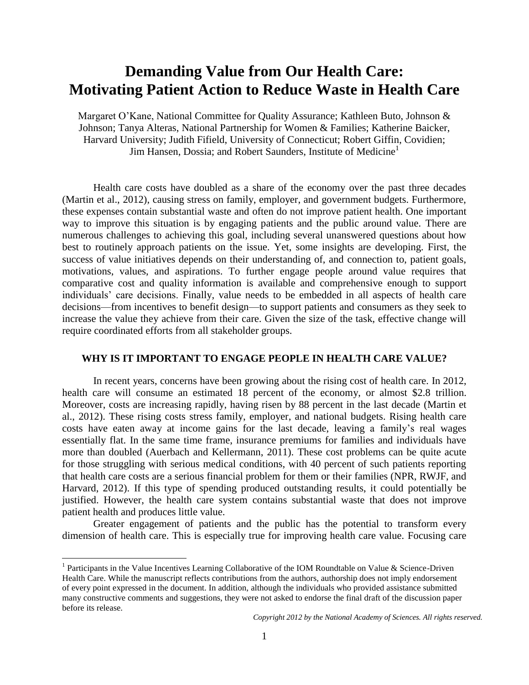## **Demanding Value from Our Health Care: Motivating Patient Action to Reduce Waste in Health Care**

Margaret O'Kane, National Committee for Quality Assurance; Kathleen Buto, Johnson & Johnson; Tanya Alteras, National Partnership for Women & Families; Katherine Baicker, Harvard University; Judith Fifield, University of Connecticut; Robert Giffin, Covidien; Jim Hansen, Dossia; and Robert Saunders, Institute of Medicine<sup>1</sup>

Health care costs have doubled as a share of the economy over the past three decades (Martin et al., 2012), causing stress on family, employer, and government budgets. Furthermore, these expenses contain substantial waste and often do not improve patient health. One important way to improve this situation is by engaging patients and the public around value. There are numerous challenges to achieving this goal, including several unanswered questions about how best to routinely approach patients on the issue. Yet, some insights are developing. First, the success of value initiatives depends on their understanding of, and connection to, patient goals, motivations, values, and aspirations. To further engage people around value requires that comparative cost and quality information is available and comprehensive enough to support individuals' care decisions. Finally, value needs to be embedded in all aspects of health care decisions—from incentives to benefit design—to support patients and consumers as they seek to increase the value they achieve from their care. Given the size of the task, effective change will require coordinated efforts from all stakeholder groups.

#### **WHY IS IT IMPORTANT TO ENGAGE PEOPLE IN HEALTH CARE VALUE?**

In recent years, concerns have been growing about the rising cost of health care. In 2012, health care will consume an estimated 18 percent of the economy, or almost \$2.8 trillion. Moreover, costs are increasing rapidly, having risen by 88 percent in the last decade (Martin et al., 2012). These rising costs stress family, employer, and national budgets. Rising health care costs have eaten away at income gains for the last decade, leaving a family's real wages essentially flat. In the same time frame, insurance premiums for families and individuals have more than doubled (Auerbach and Kellermann, 2011). These cost problems can be quite acute for those struggling with serious medical conditions, with 40 percent of such patients reporting that health care costs are a serious financial problem for them or their families (NPR, RWJF, and Harvard, 2012). If this type of spending produced outstanding results, it could potentially be justified. However, the health care system contains substantial waste that does not improve patient health and produces little value.

Greater engagement of patients and the public has the potential to transform every dimension of health care. This is especially true for improving health care value. Focusing care

 $\overline{a}$ 

<sup>&</sup>lt;sup>1</sup> Participants in the Value Incentives Learning Collaborative of the IOM Roundtable on Value & Science-Driven Health Care. While the manuscript reflects contributions from the authors, authorship does not imply endorsement of every point expressed in the document. In addition, although the individuals who provided assistance submitted many constructive comments and suggestions, they were not asked to endorse the final draft of the discussion paper before its release.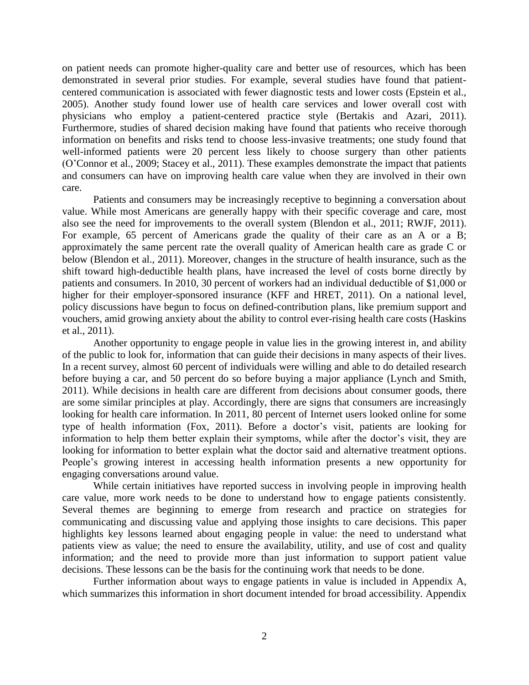on patient needs can promote higher-quality care and better use of resources, which has been demonstrated in several prior studies. For example, several studies have found that patientcentered communication is associated with fewer diagnostic tests and lower costs (Epstein et al., 2005). Another study found lower use of health care services and lower overall cost with physicians who employ a patient-centered practice style (Bertakis and Azari, 2011). Furthermore, studies of shared decision making have found that patients who receive thorough information on benefits and risks tend to choose less-invasive treatments; one study found that well-informed patients were 20 percent less likely to choose surgery than other patients (O'Connor et al., 2009; Stacey et al., 2011). These examples demonstrate the impact that patients and consumers can have on improving health care value when they are involved in their own care.

Patients and consumers may be increasingly receptive to beginning a conversation about value. While most Americans are generally happy with their specific coverage and care, most also see the need for improvements to the overall system (Blendon et al., 2011; RWJF, 2011). For example, 65 percent of Americans grade the quality of their care as an A or a B; approximately the same percent rate the overall quality of American health care as grade C or below (Blendon et al., 2011). Moreover, changes in the structure of health insurance, such as the shift toward high-deductible health plans, have increased the level of costs borne directly by patients and consumers. In 2010, 30 percent of workers had an individual deductible of \$1,000 or higher for their employer-sponsored insurance (KFF and HRET, 2011). On a national level, policy discussions have begun to focus on defined-contribution plans, like premium support and vouchers, amid growing anxiety about the ability to control ever-rising health care costs (Haskins et al., 2011).

Another opportunity to engage people in value lies in the growing interest in, and ability of the public to look for, information that can guide their decisions in many aspects of their lives. In a recent survey, almost 60 percent of individuals were willing and able to do detailed research before buying a car, and 50 percent do so before buying a major appliance (Lynch and Smith, 2011). While decisions in health care are different from decisions about consumer goods, there are some similar principles at play. Accordingly, there are signs that consumers are increasingly looking for health care information. In 2011, 80 percent of Internet users looked online for some type of health information (Fox, 2011). Before a doctor's visit, patients are looking for information to help them better explain their symptoms, while after the doctor's visit, they are looking for information to better explain what the doctor said and alternative treatment options. People's growing interest in accessing health information presents a new opportunity for engaging conversations around value.

While certain initiatives have reported success in involving people in improving health care value, more work needs to be done to understand how to engage patients consistently. Several themes are beginning to emerge from research and practice on strategies for communicating and discussing value and applying those insights to care decisions. This paper highlights key lessons learned about engaging people in value: the need to understand what patients view as value; the need to ensure the availability, utility, and use of cost and quality information; and the need to provide more than just information to support patient value decisions. These lessons can be the basis for the continuing work that needs to be done.

Further information about ways to engage patients in value is included in Appendix A, which summarizes this information in short document intended for broad accessibility. Appendix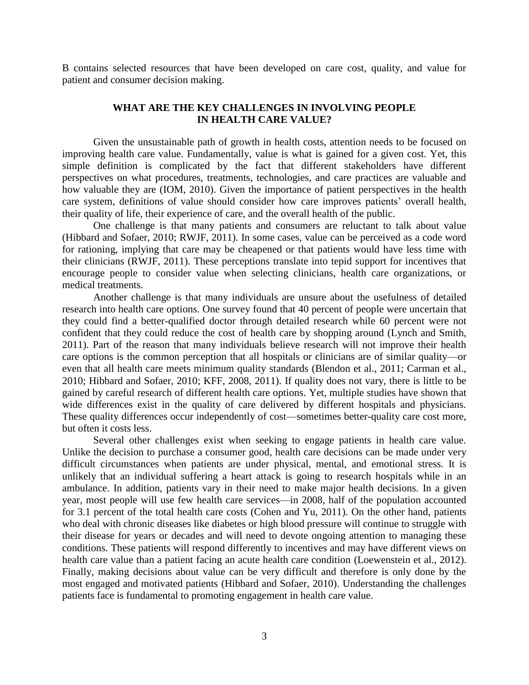B contains selected resources that have been developed on care cost, quality, and value for patient and consumer decision making.

#### **WHAT ARE THE KEY CHALLENGES IN INVOLVING PEOPLE IN HEALTH CARE VALUE?**

Given the unsustainable path of growth in health costs, attention needs to be focused on improving health care value. Fundamentally, value is what is gained for a given cost. Yet, this simple definition is complicated by the fact that different stakeholders have different perspectives on what procedures, treatments, technologies, and care practices are valuable and how valuable they are (IOM, 2010). Given the importance of patient perspectives in the health care system, definitions of value should consider how care improves patients' overall health, their quality of life, their experience of care, and the overall health of the public.

One challenge is that many patients and consumers are reluctant to talk about value (Hibbard and Sofaer, 2010; RWJF, 2011). In some cases, value can be perceived as a code word for rationing, implying that care may be cheapened or that patients would have less time with their clinicians (RWJF, 2011). These perceptions translate into tepid support for incentives that encourage people to consider value when selecting clinicians, health care organizations, or medical treatments.

Another challenge is that many individuals are unsure about the usefulness of detailed research into health care options. One survey found that 40 percent of people were uncertain that they could find a better-qualified doctor through detailed research while 60 percent were not confident that they could reduce the cost of health care by shopping around (Lynch and Smith, 2011). Part of the reason that many individuals believe research will not improve their health care options is the common perception that all hospitals or clinicians are of similar quality—or even that all health care meets minimum quality standards (Blendon et al., 2011; Carman et al., 2010; Hibbard and Sofaer, 2010; KFF, 2008, 2011). If quality does not vary, there is little to be gained by careful research of different health care options. Yet, multiple studies have shown that wide differences exist in the quality of care delivered by different hospitals and physicians. These quality differences occur independently of cost—sometimes better-quality care cost more, but often it costs less.

Several other challenges exist when seeking to engage patients in health care value. Unlike the decision to purchase a consumer good, health care decisions can be made under very difficult circumstances when patients are under physical, mental, and emotional stress. It is unlikely that an individual suffering a heart attack is going to research hospitals while in an ambulance. In addition, patients vary in their need to make major health decisions. In a given year, most people will use few health care services—in 2008, half of the population accounted for 3.1 percent of the total health care costs (Cohen and Yu, 2011). On the other hand, patients who deal with chronic diseases like diabetes or high blood pressure will continue to struggle with their disease for years or decades and will need to devote ongoing attention to managing these conditions. These patients will respond differently to incentives and may have different views on health care value than a patient facing an acute health care condition (Loewenstein et al., 2012). Finally, making decisions about value can be very difficult and therefore is only done by the most engaged and motivated patients (Hibbard and Sofaer, 2010). Understanding the challenges patients face is fundamental to promoting engagement in health care value.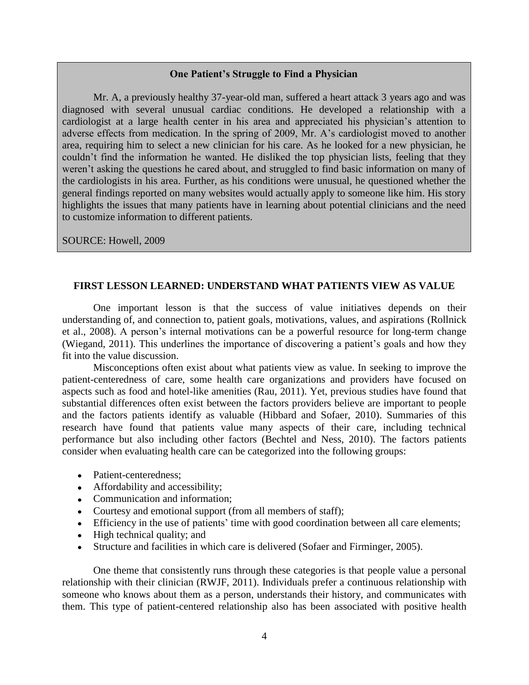#### **One Patient's Struggle to Find a Physician**

Mr. A, a previously healthy 37-year-old man, suffered a heart attack 3 years ago and was diagnosed with several unusual cardiac conditions. He developed a relationship with a cardiologist at a large health center in his area and appreciated his physician's attention to adverse effects from medication. In the spring of 2009, Mr. A's cardiologist moved to another area, requiring him to select a new clinician for his care. As he looked for a new physician, he couldn't find the information he wanted. He disliked the top physician lists, feeling that they weren't asking the questions he cared about, and struggled to find basic information on many of the cardiologists in his area. Further, as his conditions were unusual, he questioned whether the general findings reported on many websites would actually apply to someone like him. His story highlights the issues that many patients have in learning about potential clinicians and the need to customize information to different patients.

SOURCE: Howell, 2009

#### **FIRST LESSON LEARNED: UNDERSTAND WHAT PATIENTS VIEW AS VALUE**

One important lesson is that the success of value initiatives depends on their understanding of, and connection to, patient goals, motivations, values, and aspirations (Rollnick et al., 2008). A person's internal motivations can be a powerful resource for long-term change (Wiegand, 2011). This underlines the importance of discovering a patient's goals and how they fit into the value discussion.

Misconceptions often exist about what patients view as value. In seeking to improve the patient-centeredness of care, some health care organizations and providers have focused on aspects such as food and hotel-like amenities (Rau, 2011). Yet, previous studies have found that substantial differences often exist between the factors providers believe are important to people and the factors patients identify as valuable (Hibbard and Sofaer, 2010). Summaries of this research have found that patients value many aspects of their care, including technical performance but also including other factors (Bechtel and Ness, 2010). The factors patients consider when evaluating health care can be categorized into the following groups:

- Patient-centeredness;
- Affordability and accessibility;
- Communication and information;
- Courtesy and emotional support (from all members of staff);
- Efficiency in the use of patients' time with good coordination between all care elements;
- High technical quality; and
- Structure and facilities in which care is delivered (Sofaer and Firminger, 2005).

One theme that consistently runs through these categories is that people value a personal relationship with their clinician (RWJF, 2011). Individuals prefer a continuous relationship with someone who knows about them as a person, understands their history, and communicates with them. This type of patient-centered relationship also has been associated with positive health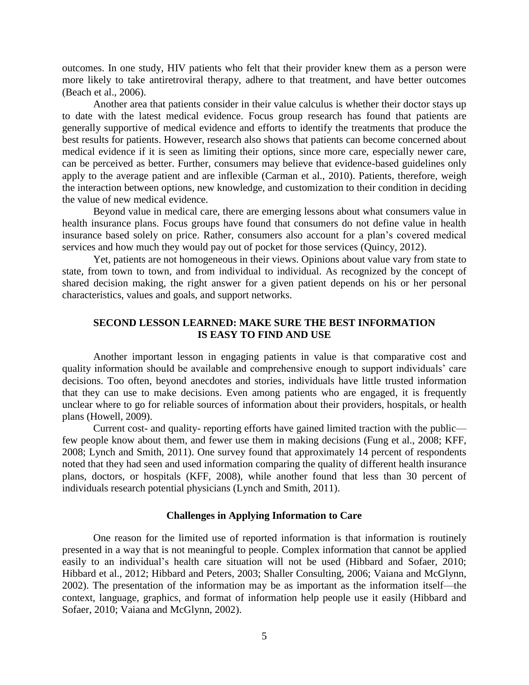outcomes. In one study, HIV patients who felt that their provider knew them as a person were more likely to take antiretroviral therapy, adhere to that treatment, and have better outcomes (Beach et al., 2006).

Another area that patients consider in their value calculus is whether their doctor stays up to date with the latest medical evidence. Focus group research has found that patients are generally supportive of medical evidence and efforts to identify the treatments that produce the best results for patients. However, research also shows that patients can become concerned about medical evidence if it is seen as limiting their options, since more care, especially newer care, can be perceived as better. Further, consumers may believe that evidence-based guidelines only apply to the average patient and are inflexible (Carman et al., 2010). Patients, therefore, weigh the interaction between options, new knowledge, and customization to their condition in deciding the value of new medical evidence.

Beyond value in medical care, there are emerging lessons about what consumers value in health insurance plans. Focus groups have found that consumers do not define value in health insurance based solely on price. Rather, consumers also account for a plan's covered medical services and how much they would pay out of pocket for those services (Quincy, 2012).

Yet, patients are not homogeneous in their views. Opinions about value vary from state to state, from town to town, and from individual to individual. As recognized by the concept of shared decision making, the right answer for a given patient depends on his or her personal characteristics, values and goals, and support networks.

#### **SECOND LESSON LEARNED: MAKE SURE THE BEST INFORMATION IS EASY TO FIND AND USE**

 Another important lesson in engaging patients in value is that comparative cost and quality information should be available and comprehensive enough to support individuals' care decisions. Too often, beyond anecdotes and stories, individuals have little trusted information that they can use to make decisions. Even among patients who are engaged, it is frequently unclear where to go for reliable sources of information about their providers, hospitals, or health plans (Howell, 2009).

 Current cost- and quality- reporting efforts have gained limited traction with the public few people know about them, and fewer use them in making decisions (Fung et al., 2008; KFF, 2008; Lynch and Smith, 2011). One survey found that approximately 14 percent of respondents noted that they had seen and used information comparing the quality of different health insurance plans, doctors, or hospitals (KFF, 2008), while another found that less than 30 percent of individuals research potential physicians (Lynch and Smith, 2011).

#### **Challenges in Applying Information to Care**

 One reason for the limited use of reported information is that information is routinely presented in a way that is not meaningful to people. Complex information that cannot be applied easily to an individual's health care situation will not be used (Hibbard and Sofaer, 2010; Hibbard et al., 2012; Hibbard and Peters, 2003; Shaller Consulting, 2006; Vaiana and McGlynn, 2002). The presentation of the information may be as important as the information itself—the context, language, graphics, and format of information help people use it easily (Hibbard and Sofaer, 2010; Vaiana and McGlynn, 2002).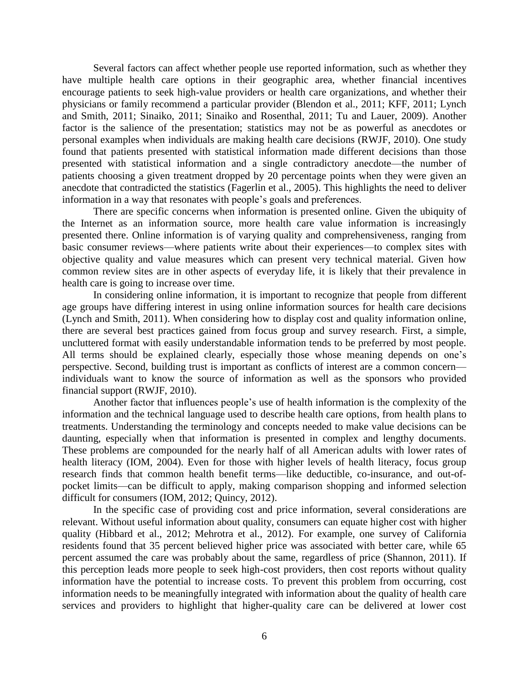Several factors can affect whether people use reported information, such as whether they have multiple health care options in their geographic area, whether financial incentives encourage patients to seek high-value providers or health care organizations, and whether their physicians or family recommend a particular provider (Blendon et al., 2011; KFF, 2011; Lynch and Smith, 2011; Sinaiko, 2011; Sinaiko and Rosenthal, 2011; Tu and Lauer, 2009). Another factor is the salience of the presentation; statistics may not be as powerful as anecdotes or personal examples when individuals are making health care decisions (RWJF, 2010). One study found that patients presented with statistical information made different decisions than those presented with statistical information and a single contradictory anecdote—the number of patients choosing a given treatment dropped by 20 percentage points when they were given an anecdote that contradicted the statistics (Fagerlin et al., 2005). This highlights the need to deliver information in a way that resonates with people's goals and preferences.

There are specific concerns when information is presented online. Given the ubiquity of the Internet as an information source, more health care value information is increasingly presented there. Online information is of varying quality and comprehensiveness, ranging from basic consumer reviews—where patients write about their experiences—to complex sites with objective quality and value measures which can present very technical material. Given how common review sites are in other aspects of everyday life, it is likely that their prevalence in health care is going to increase over time.

In considering online information, it is important to recognize that people from different age groups have differing interest in using online information sources for health care decisions (Lynch and Smith, 2011). When considering how to display cost and quality information online, there are several best practices gained from focus group and survey research. First, a simple, uncluttered format with easily understandable information tends to be preferred by most people. All terms should be explained clearly, especially those whose meaning depends on one's perspective. Second, building trust is important as conflicts of interest are a common concern individuals want to know the source of information as well as the sponsors who provided financial support (RWJF, 2010).

Another factor that influences people's use of health information is the complexity of the information and the technical language used to describe health care options, from health plans to treatments. Understanding the terminology and concepts needed to make value decisions can be daunting, especially when that information is presented in complex and lengthy documents. These problems are compounded for the nearly half of all American adults with lower rates of health literacy (IOM, 2004). Even for those with higher levels of health literacy, focus group research finds that common health benefit terms—like deductible, co-insurance, and out-ofpocket limits—can be difficult to apply, making comparison shopping and informed selection difficult for consumers (IOM, 2012; Quincy, 2012).

In the specific case of providing cost and price information, several considerations are relevant. Without useful information about quality, consumers can equate higher cost with higher quality (Hibbard et al., 2012; Mehrotra et al., 2012). For example, one survey of California residents found that 35 percent believed higher price was associated with better care, while 65 percent assumed the care was probably about the same, regardless of price (Shannon, 2011). If this perception leads more people to seek high-cost providers, then cost reports without quality information have the potential to increase costs. To prevent this problem from occurring, cost information needs to be meaningfully integrated with information about the quality of health care services and providers to highlight that higher-quality care can be delivered at lower cost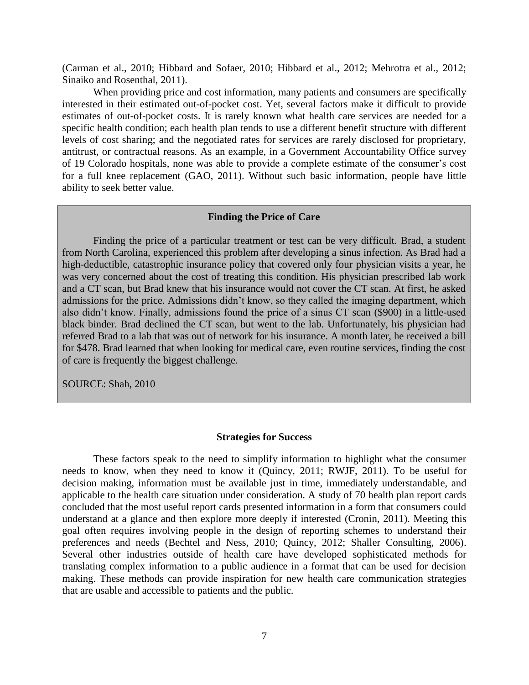(Carman et al., 2010; Hibbard and Sofaer, 2010; Hibbard et al., 2012; Mehrotra et al., 2012; Sinaiko and Rosenthal, 2011).

When providing price and cost information, many patients and consumers are specifically interested in their estimated out-of-pocket cost. Yet, several factors make it difficult to provide estimates of out-of-pocket costs. It is rarely known what health care services are needed for a specific health condition; each health plan tends to use a different benefit structure with different levels of cost sharing; and the negotiated rates for services are rarely disclosed for proprietary, antitrust, or contractual reasons. As an example, in a Government Accountability Office survey of 19 Colorado hospitals, none was able to provide a complete estimate of the consumer's cost for a full knee replacement (GAO, 2011). Without such basic information, people have little ability to seek better value.

#### **Finding the Price of Care**

Finding the price of a particular treatment or test can be very difficult. Brad, a student from North Carolina, experienced this problem after developing a sinus infection. As Brad had a high-deductible, catastrophic insurance policy that covered only four physician visits a year, he was very concerned about the cost of treating this condition. His physician prescribed lab work and a CT scan, but Brad knew that his insurance would not cover the CT scan. At first, he asked admissions for the price. Admissions didn't know, so they called the imaging department, which also didn't know. Finally, admissions found the price of a sinus CT scan (\$900) in a little-used black binder. Brad declined the CT scan, but went to the lab. Unfortunately, his physician had referred Brad to a lab that was out of network for his insurance. A month later, he received a bill for \$478. Brad learned that when looking for medical care, even routine services, finding the cost of care is frequently the biggest challenge.

SOURCE: Shah, 2010

#### **Strategies for Success**

These factors speak to the need to simplify information to highlight what the consumer needs to know, when they need to know it (Quincy, 2011; RWJF, 2011). To be useful for decision making, information must be available just in time, immediately understandable, and applicable to the health care situation under consideration. A study of 70 health plan report cards concluded that the most useful report cards presented information in a form that consumers could understand at a glance and then explore more deeply if interested (Cronin, 2011). Meeting this goal often requires involving people in the design of reporting schemes to understand their preferences and needs (Bechtel and Ness, 2010; Quincy, 2012; Shaller Consulting, 2006). Several other industries outside of health care have developed sophisticated methods for translating complex information to a public audience in a format that can be used for decision making. These methods can provide inspiration for new health care communication strategies that are usable and accessible to patients and the public.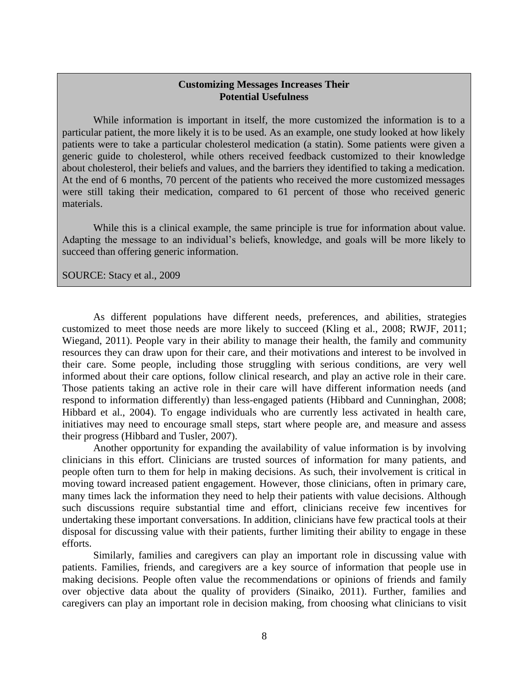#### **Customizing Messages Increases Their Potential Usefulness**

While information is important in itself, the more customized the information is to a particular patient, the more likely it is to be used. As an example, one study looked at how likely patients were to take a particular cholesterol medication (a statin). Some patients were given a generic guide to cholesterol, while others received feedback customized to their knowledge about cholesterol, their beliefs and values, and the barriers they identified to taking a medication. At the end of 6 months, 70 percent of the patients who received the more customized messages were still taking their medication, compared to 61 percent of those who received generic materials.

While this is a clinical example, the same principle is true for information about value. Adapting the message to an individual's beliefs, knowledge, and goals will be more likely to succeed than offering generic information.

SOURCE: Stacy et al., 2009

As different populations have different needs, preferences, and abilities, strategies customized to meet those needs are more likely to succeed (Kling et al., 2008; RWJF, 2011; Wiegand, 2011). People vary in their ability to manage their health, the family and community resources they can draw upon for their care, and their motivations and interest to be involved in their care. Some people, including those struggling with serious conditions, are very well informed about their care options, follow clinical research, and play an active role in their care. Those patients taking an active role in their care will have different information needs (and respond to information differently) than less-engaged patients (Hibbard and Cunninghan, 2008; Hibbard et al., 2004). To engage individuals who are currently less activated in health care, initiatives may need to encourage small steps, start where people are, and measure and assess their progress (Hibbard and Tusler, 2007).

Another opportunity for expanding the availability of value information is by involving clinicians in this effort. Clinicians are trusted sources of information for many patients, and people often turn to them for help in making decisions. As such, their involvement is critical in moving toward increased patient engagement. However, those clinicians, often in primary care, many times lack the information they need to help their patients with value decisions. Although such discussions require substantial time and effort, clinicians receive few incentives for undertaking these important conversations. In addition, clinicians have few practical tools at their disposal for discussing value with their patients, further limiting their ability to engage in these efforts.

Similarly, families and caregivers can play an important role in discussing value with patients. Families, friends, and caregivers are a key source of information that people use in making decisions. People often value the recommendations or opinions of friends and family over objective data about the quality of providers (Sinaiko, 2011). Further, families and caregivers can play an important role in decision making, from choosing what clinicians to visit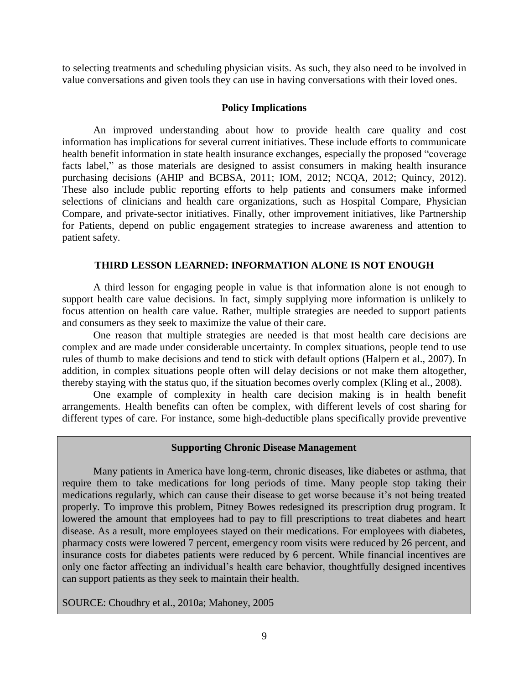to selecting treatments and scheduling physician visits. As such, they also need to be involved in value conversations and given tools they can use in having conversations with their loved ones.

#### **Policy Implications**

An improved understanding about how to provide health care quality and cost information has implications for several current initiatives. These include efforts to communicate health benefit information in state health insurance exchanges, especially the proposed "coverage facts label," as those materials are designed to assist consumers in making health insurance purchasing decisions (AHIP and BCBSA, 2011; IOM, 2012; NCQA, 2012; Quincy, 2012). These also include public reporting efforts to help patients and consumers make informed selections of clinicians and health care organizations, such as Hospital Compare, Physician Compare, and private-sector initiatives. Finally, other improvement initiatives, like Partnership for Patients, depend on public engagement strategies to increase awareness and attention to patient safety.

#### **THIRD LESSON LEARNED: INFORMATION ALONE IS NOT ENOUGH**

A third lesson for engaging people in value is that information alone is not enough to support health care value decisions. In fact, simply supplying more information is unlikely to focus attention on health care value. Rather, multiple strategies are needed to support patients and consumers as they seek to maximize the value of their care.

One reason that multiple strategies are needed is that most health care decisions are complex and are made under considerable uncertainty. In complex situations, people tend to use rules of thumb to make decisions and tend to stick with default options (Halpern et al., 2007). In addition, in complex situations people often will delay decisions or not make them altogether, thereby staying with the status quo, if the situation becomes overly complex (Kling et al., 2008).

One example of complexity in health care decision making is in health benefit arrangements. Health benefits can often be complex, with different levels of cost sharing for different types of care. For instance, some high-deductible plans specifically provide preventive

#### **Supporting Chronic Disease Management**

Many patients in America have long-term, chronic diseases, like diabetes or asthma, that require them to take medications for long periods of time. Many people stop taking their medications regularly, which can cause their disease to get worse because it's not being treated properly. To improve this problem, Pitney Bowes redesigned its prescription drug program. It lowered the amount that employees had to pay to fill prescriptions to treat diabetes and heart disease. As a result, more employees stayed on their medications. For employees with diabetes, pharmacy costs were lowered 7 percent, emergency room visits were reduced by 26 percent, and insurance costs for diabetes patients were reduced by 6 percent. While financial incentives are only one factor affecting an individual's health care behavior, thoughtfully designed incentives can support patients as they seek to maintain their health.

#### SOURCE: Choudhry et al., 2010a; Mahoney, 2005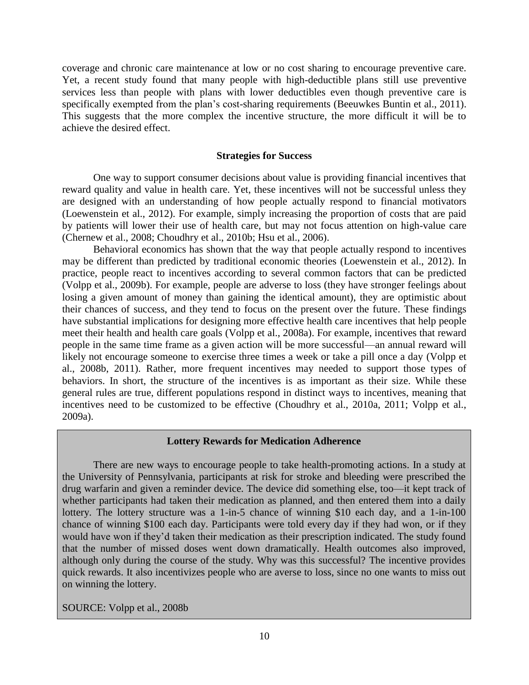coverage and chronic care maintenance at low or no cost sharing to encourage preventive care. Yet, a recent study found that many people with high-deductible plans still use preventive services less than people with plans with lower deductibles even though preventive care is specifically exempted from the plan's cost-sharing requirements (Beeuwkes Buntin et al., 2011). This suggests that the more complex the incentive structure, the more difficult it will be to achieve the desired effect.

#### **Strategies for Success**

One way to support consumer decisions about value is providing financial incentives that reward quality and value in health care. Yet, these incentives will not be successful unless they are designed with an understanding of how people actually respond to financial motivators (Loewenstein et al., 2012). For example, simply increasing the proportion of costs that are paid by patients will lower their use of health care, but may not focus attention on high-value care (Chernew et al., 2008; Choudhry et al., 2010b; Hsu et al., 2006).

Behavioral economics has shown that the way that people actually respond to incentives may be different than predicted by traditional economic theories (Loewenstein et al., 2012). In practice, people react to incentives according to several common factors that can be predicted (Volpp et al., 2009b). For example, people are adverse to loss (they have stronger feelings about losing a given amount of money than gaining the identical amount), they are optimistic about their chances of success, and they tend to focus on the present over the future. These findings have substantial implications for designing more effective health care incentives that help people meet their health and health care goals (Volpp et al., 2008a). For example, incentives that reward people in the same time frame as a given action will be more successful—an annual reward will likely not encourage someone to exercise three times a week or take a pill once a day (Volpp et al., 2008b, 2011). Rather, more frequent incentives may needed to support those types of behaviors. In short, the structure of the incentives is as important as their size. While these general rules are true, different populations respond in distinct ways to incentives, meaning that incentives need to be customized to be effective (Choudhry et al., 2010a, 2011; Volpp et al., 2009a).

#### **Lottery Rewards for Medication Adherence**

There are new ways to encourage people to take health-promoting actions. In a study at the University of Pennsylvania, participants at risk for stroke and bleeding were prescribed the drug warfarin and given a reminder device. The device did something else, too—it kept track of whether participants had taken their medication as planned, and then entered them into a daily lottery. The lottery structure was a 1-in-5 chance of winning \$10 each day, and a 1-in-100 chance of winning \$100 each day. Participants were told every day if they had won, or if they would have won if they'd taken their medication as their prescription indicated. The study found that the number of missed doses went down dramatically. Health outcomes also improved, although only during the course of the study. Why was this successful? The incentive provides quick rewards. It also incentivizes people who are averse to loss, since no one wants to miss out on winning the lottery.

SOURCE: Volpp et al., 2008b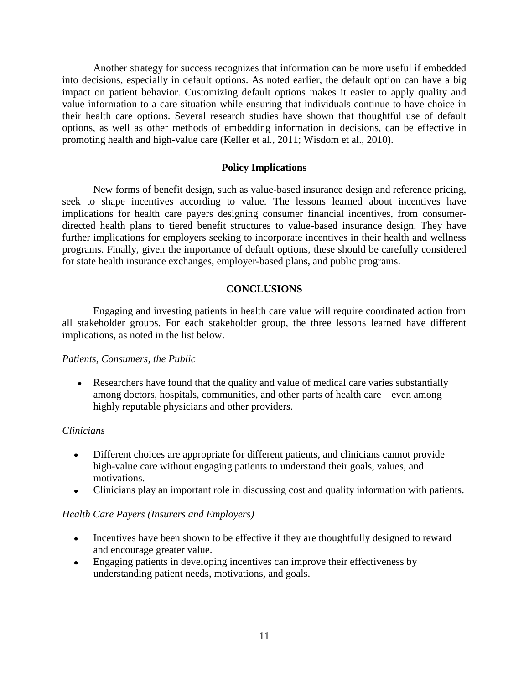Another strategy for success recognizes that information can be more useful if embedded into decisions, especially in default options. As noted earlier, the default option can have a big impact on patient behavior. Customizing default options makes it easier to apply quality and value information to a care situation while ensuring that individuals continue to have choice in their health care options. Several research studies have shown that thoughtful use of default options, as well as other methods of embedding information in decisions, can be effective in promoting health and high-value care (Keller et al., 2011; Wisdom et al., 2010).

#### **Policy Implications**

New forms of benefit design, such as value-based insurance design and reference pricing, seek to shape incentives according to value. The lessons learned about incentives have implications for health care payers designing consumer financial incentives, from consumerdirected health plans to tiered benefit structures to value-based insurance design. They have further implications for employers seeking to incorporate incentives in their health and wellness programs. Finally, given the importance of default options, these should be carefully considered for state health insurance exchanges, employer-based plans, and public programs.

#### **CONCLUSIONS**

Engaging and investing patients in health care value will require coordinated action from all stakeholder groups. For each stakeholder group, the three lessons learned have different implications, as noted in the list below.

#### *Patients, Consumers, the Public*

• Researchers have found that the quality and value of medical care varies substantially among doctors, hospitals, communities, and other parts of health care—even among highly reputable physicians and other providers.

#### *Clinicians*

- Different choices are appropriate for different patients, and clinicians cannot provide  $\bullet$ high-value care without engaging patients to understand their goals, values, and motivations.
- Clinicians play an important role in discussing cost and quality information with patients.

#### *Health Care Payers (Insurers and Employers)*

- Incentives have been shown to be effective if they are thoughtfully designed to reward  $\bullet$ and encourage greater value.
- Engaging patients in developing incentives can improve their effectiveness by  $\bullet$ understanding patient needs, motivations, and goals.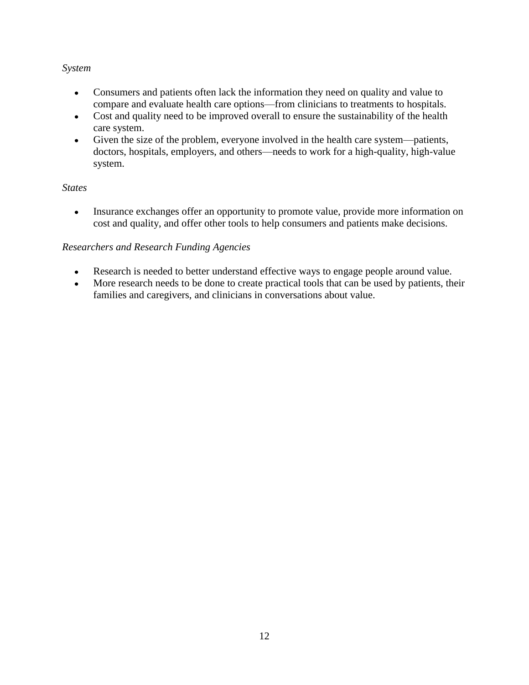#### *System*

- Consumers and patients often lack the information they need on quality and value to  $\bullet$ compare and evaluate health care options—from clinicians to treatments to hospitals.
- Cost and quality need to be improved overall to ensure the sustainability of the health  $\bullet$ care system.
- Given the size of the problem, everyone involved in the health care system—patients,  $\bullet$ doctors, hospitals, employers, and others—needs to work for a high-quality, high-value system.

#### *States*

Insurance exchanges offer an opportunity to promote value, provide more information on  $\bullet$ cost and quality, and offer other tools to help consumers and patients make decisions.

#### *Researchers and Research Funding Agencies*

- Research is needed to better understand effective ways to engage people around value.  $\bullet$
- More research needs to be done to create practical tools that can be used by patients, their  $\bullet$ families and caregivers, and clinicians in conversations about value.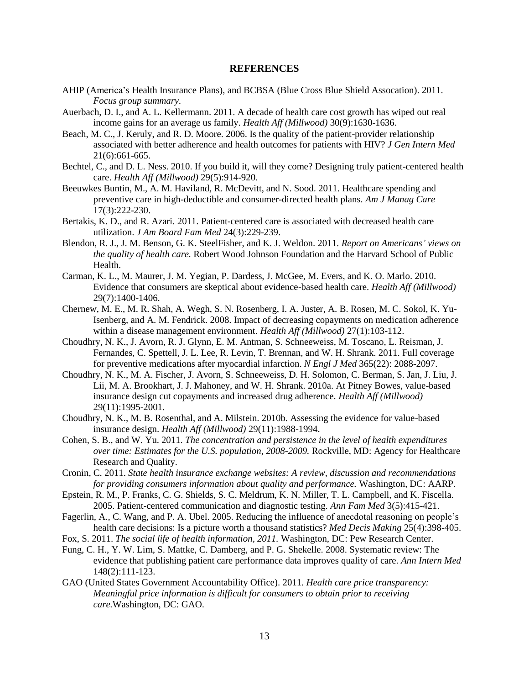#### **REFERENCES**

- AHIP (America's Health Insurance Plans), and BCBSA (Blue Cross Blue Shield Assocation). 2011. *Focus group summary.*
- Auerbach, D. I., and A. L. Kellermann. 2011. A decade of health care cost growth has wiped out real income gains for an average us family. *Health Aff (Millwood)* 30(9):1630-1636.
- Beach, M. C., J. Keruly, and R. D. Moore. 2006. Is the quality of the patient-provider relationship associated with better adherence and health outcomes for patients with HIV? *J Gen Intern Med* 21(6):661-665.
- Bechtel, C., and D. L. Ness. 2010. If you build it, will they come? Designing truly patient-centered health care. *Health Aff (Millwood)* 29(5):914-920.
- Beeuwkes Buntin, M., A. M. Haviland, R. McDevitt, and N. Sood. 2011. Healthcare spending and preventive care in high-deductible and consumer-directed health plans. *Am J Manag Care* 17(3):222-230.
- Bertakis, K. D., and R. Azari. 2011. Patient-centered care is associated with decreased health care utilization. *J Am Board Fam Med* 24(3):229-239.
- Blendon, R. J., J. M. Benson, G. K. SteelFisher, and K. J. Weldon. 2011. *Report on Americans' views on the quality of health care.* Robert Wood Johnson Foundation and the Harvard School of Public Health.
- Carman, K. L., M. Maurer, J. M. Yegian, P. Dardess, J. McGee, M. Evers, and K. O. Marlo. 2010. Evidence that consumers are skeptical about evidence-based health care. *Health Aff (Millwood)* 29(7):1400-1406.
- Chernew, M. E., M. R. Shah, A. Wegh, S. N. Rosenberg, I. A. Juster, A. B. Rosen, M. C. Sokol, K. Yu-Isenberg, and A. M. Fendrick. 2008. Impact of decreasing copayments on medication adherence within a disease management environment. *Health Aff (Millwood)* 27(1):103-112.
- Choudhry, N. K., J. Avorn, R. J. Glynn, E. M. Antman, S. Schneeweiss, M. Toscano, L. Reisman, J. Fernandes, C. Spettell, J. L. Lee, R. Levin, T. Brennan, and W. H. Shrank. 2011. Full coverage for preventive medications after myocardial infarction. *N Engl J Med* 365(22): 2088-2097.
- Choudhry, N. K., M. A. Fischer, J. Avorn, S. Schneeweiss, D. H. Solomon, C. Berman, S. Jan, J. Liu, J. Lii, M. A. Brookhart, J. J. Mahoney, and W. H. Shrank. 2010a. At Pitney Bowes, value-based insurance design cut copayments and increased drug adherence. *Health Aff (Millwood)* 29(11):1995-2001.
- Choudhry, N. K., M. B. Rosenthal, and A. Milstein. 2010b. Assessing the evidence for value-based insurance design. *Health Aff (Millwood)* 29(11):1988-1994.
- Cohen, S. B., and W. Yu. 2011. *The concentration and persistence in the level of health expenditures over time: Estimates for the U.S. population, 2008-2009.* Rockville, MD: Agency for Healthcare Research and Quality.
- Cronin, C. 2011. *State health insurance exchange websites: A review, discussion and recommendations for providing consumers information about quality and performance.* Washington, DC: AARP.
- Epstein, R. M., P. Franks, C. G. Shields, S. C. Meldrum, K. N. Miller, T. L. Campbell, and K. Fiscella. 2005. Patient-centered communication and diagnostic testing. *Ann Fam Med* 3(5):415-421.
- Fagerlin, A., C. Wang, and P. A. Ubel. 2005. Reducing the influence of anecdotal reasoning on people's health care decisions: Is a picture worth a thousand statistics? *Med Decis Making* 25(4):398-405.
- Fox, S. 2011. *The social life of health information, 2011.* Washington, DC: Pew Research Center.
- Fung, C. H., Y. W. Lim, S. Mattke, C. Damberg, and P. G. Shekelle. 2008. Systematic review: The evidence that publishing patient care performance data improves quality of care. *Ann Intern Med* 148(2):111-123.
- GAO (United States Government Accountability Office). 2011. *Health care price transparency: Meaningful price information is difficult for consumers to obtain prior to receiving care.*Washington, DC: GAO.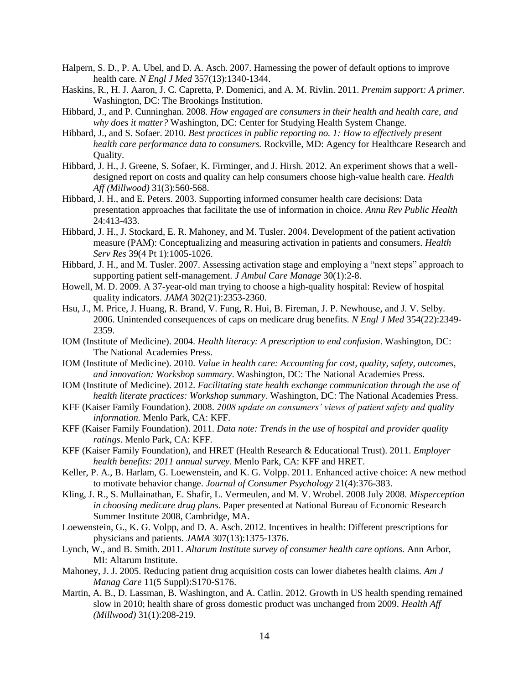- Halpern, S. D., P. A. Ubel, and D. A. Asch. 2007. Harnessing the power of default options to improve health care. *N Engl J Med* 357(13):1340-1344.
- Haskins, R., H. J. Aaron, J. C. Capretta, P. Domenici, and A. M. Rivlin. 2011. *Premim support: A primer.* Washington, DC: The Brookings Institution.
- Hibbard, J., and P. Cunninghan. 2008. *How engaged are consumers in their health and health care, and why does it matter?* Washington, DC: Center for Studying Health System Change.
- Hibbard, J., and S. Sofaer. 2010. *Best practices in public reporting no. 1: How to effectively present health care performance data to consumers.* Rockville, MD: Agency for Healthcare Research and Quality.
- Hibbard, J. H., J. Greene, S. Sofaer, K. Firminger, and J. Hirsh. 2012. An experiment shows that a welldesigned report on costs and quality can help consumers choose high-value health care. *Health Aff (Millwood)* 31(3):560-568.
- Hibbard, J. H., and E. Peters. 2003. Supporting informed consumer health care decisions: Data presentation approaches that facilitate the use of information in choice. *Annu Rev Public Health* 24:413-433.
- Hibbard, J. H., J. Stockard, E. R. Mahoney, and M. Tusler. 2004. Development of the patient activation measure (PAM): Conceptualizing and measuring activation in patients and consumers. *Health Serv Res* 39(4 Pt 1):1005-1026.
- Hibbard, J. H., and M. Tusler. 2007. Assessing activation stage and employing a "next steps" approach to supporting patient self-management. *J Ambul Care Manage* 30(1):2-8.
- Howell, M. D. 2009. A 37-year-old man trying to choose a high-quality hospital: Review of hospital quality indicators. *JAMA* 302(21):2353-2360.
- Hsu, J., M. Price, J. Huang, R. Brand, V. Fung, R. Hui, B. Fireman, J. P. Newhouse, and J. V. Selby. 2006. Unintended consequences of caps on medicare drug benefits. *N Engl J Med* 354(22):2349- 2359.
- IOM (Institute of Medicine). 2004. *Health literacy: A prescription to end confusion*. Washington, DC: The National Academies Press.
- IOM (Institute of Medicine). 2010. *Value in health care: Accounting for cost, quality, safety, outcomes, and innovation: Workshop summary*. Washington, DC: The National Academies Press.
- IOM (Institute of Medicine). 2012. *Facilitating state health exchange communication through the use of health literate practices: Workshop summary*. Washington, DC: The National Academies Press.
- KFF (Kaiser Family Foundation). 2008. *2008 update on consumers' views of patient safety and quality information.* Menlo Park, CA: KFF.
- KFF (Kaiser Family Foundation). 2011. *Data note: Trends in the use of hospital and provider quality ratings*. Menlo Park, CA: KFF.
- KFF (Kaiser Family Foundation), and HRET (Health Research & Educational Trust). 2011. *Employer health benefits: 2011 annual survey.* Menlo Park, CA: KFF and HRET.
- Keller, P. A., B. Harlam, G. Loewenstein, and K. G. Volpp. 2011. Enhanced active choice: A new method to motivate behavior change. *Journal of Consumer Psychology* 21(4):376-383.
- Kling, J. R., S. Mullainathan, E. Shafir, L. Vermeulen, and M. V. Wrobel. 2008 July 2008. *Misperception in choosing medicare drug plans*. Paper presented at National Bureau of Economic Research Summer Institute 2008, Cambridge, MA.
- Loewenstein, G., K. G. Volpp, and D. A. Asch. 2012. Incentives in health: Different prescriptions for physicians and patients. *JAMA* 307(13):1375-1376.
- Lynch, W., and B. Smith. 2011. *Altarum Institute survey of consumer health care options.* Ann Arbor, MI: Altarum Institute.
- Mahoney, J. J. 2005. Reducing patient drug acquisition costs can lower diabetes health claims. *Am J Manag Care* 11(5 Suppl):S170-S176.
- Martin, A. B., D. Lassman, B. Washington, and A. Catlin. 2012. Growth in US health spending remained slow in 2010; health share of gross domestic product was unchanged from 2009. *Health Aff (Millwood)* 31(1):208-219.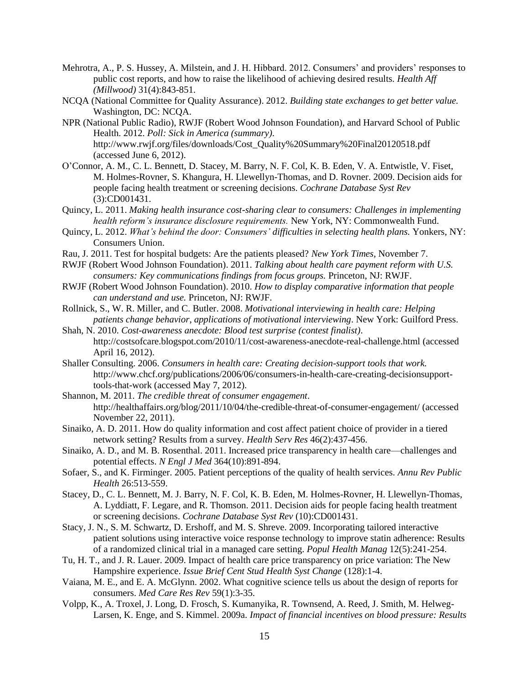- Mehrotra, A., P. S. Hussey, A. Milstein, and J. H. Hibbard. 2012. Consumers' and providers' responses to public cost reports, and how to raise the likelihood of achieving desired results. *Health Aff (Millwood)* 31(4):843-851.
- NCQA (National Committee for Quality Assurance). 2012. *Building state exchanges to get better value.* Washington, DC: NCQA.
- NPR (National Public Radio), RWJF (Robert Wood Johnson Foundation), and Harvard School of Public Health. 2012. *Poll: Sick in America (summary)*. http://www.rwjf.org/files/downloads/Cost\_Quality%20Summary%20Final20120518.pdf (accessed June 6, 2012).
- O'Connor, A. M., C. L. Bennett, D. Stacey, M. Barry, N. F. Col, K. B. Eden, V. A. Entwistle, V. Fiset, M. Holmes-Rovner, S. Khangura, H. Llewellyn-Thomas, and D. Rovner. 2009. Decision aids for people facing health treatment or screening decisions. *Cochrane Database Syst Rev*  (3):CD001431.
- Quincy, L. 2011. *Making health insurance cost-sharing clear to consumers: Challenges in implementing health reform's insurance disclosure requirements.* New York, NY: Commonwealth Fund.
- Quincy, L. 2012. *What's behind the door: Consumers' difficulties in selecting health plans.* Yonkers, NY: Consumers Union.
- Rau, J. 2011. Test for hospital budgets: Are the patients pleased? *New York Times*, November 7.
- RWJF (Robert Wood Johnson Foundation). 2011. *Talking about health care payment reform with U.S. consumers: Key communications findings from focus groups.* Princeton, NJ: RWJF.
- RWJF (Robert Wood Johnson Foundation). 2010. *How to display comparative information that people can understand and use.* Princeton, NJ: RWJF.
- Rollnick, S., W. R. Miller, and C. Butler. 2008. *Motivational interviewing in health care: Helping patients change behavior*, *applications of motivational interviewing*. New York: Guilford Press.
- Shah, N. 2010. *Cost-awareness anecdote: Blood test surprise (contest finalist)*. http://costsofcare.blogspot.com/2010/11/cost-awareness-anecdote-real-challenge.html (accessed April 16, 2012).
- Shaller Consulting. 2006. *Consumers in health care: Creating decision-support tools that work.*  http://www.chcf.org/publications/2006/06/consumers-in-health-care-creating-decisionsupporttools-that-work (accessed May 7, 2012).
- Shannon, M. 2011. *The credible threat of consumer engagement*. http://healthaffairs.org/blog/2011/10/04/the-credible-threat-of-consumer-engagement/ (accessed November 22, 2011).
- Sinaiko, A. D. 2011. How do quality information and cost affect patient choice of provider in a tiered network setting? Results from a survey. *Health Serv Res* 46(2):437-456.
- Sinaiko, A. D., and M. B. Rosenthal. 2011. Increased price transparency in health care—challenges and potential effects. *N Engl J Med* 364(10):891-894.
- Sofaer, S., and K. Firminger. 2005. Patient perceptions of the quality of health services. *Annu Rev Public Health* 26:513-559.
- Stacey, D., C. L. Bennett, M. J. Barry, N. F. Col, K. B. Eden, M. Holmes-Rovner, H. Llewellyn-Thomas, A. Lyddiatt, F. Legare, and R. Thomson. 2011. Decision aids for people facing health treatment or screening decisions. *Cochrane Database Syst Rev* (10):CD001431.
- Stacy, J. N., S. M. Schwartz, D. Ershoff, and M. S. Shreve. 2009. Incorporating tailored interactive patient solutions using interactive voice response technology to improve statin adherence: Results of a randomized clinical trial in a managed care setting. *Popul Health Manag* 12(5):241-254.
- Tu, H. T., and J. R. Lauer. 2009. Impact of health care price transparency on price variation: The New Hampshire experience. *Issue Brief Cent Stud Health Syst Change* (128):1-4.
- Vaiana, M. E., and E. A. McGlynn. 2002. What cognitive science tells us about the design of reports for consumers. *Med Care Res Rev* 59(1):3-35.
- Volpp, K., A. Troxel, J. Long, D. Frosch, S. Kumanyika, R. Townsend, A. Reed, J. Smith, M. Helweg-Larsen, K. Enge, and S. Kimmel. 2009a. *Impact of financial incentives on blood pressure: Results*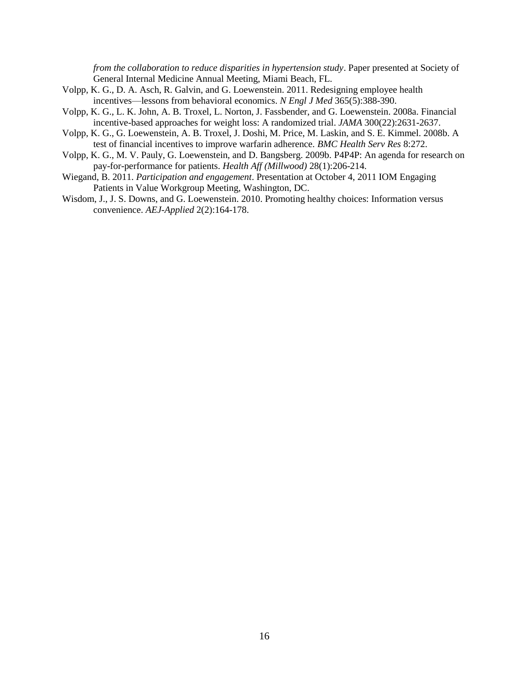*from the collaboration to reduce disparities in hypertension study*. Paper presented at Society of General Internal Medicine Annual Meeting, Miami Beach, FL.

- Volpp, K. G., D. A. Asch, R. Galvin, and G. Loewenstein. 2011. Redesigning employee health incentives—lessons from behavioral economics. *N Engl J Med* 365(5):388-390.
- Volpp, K. G., L. K. John, A. B. Troxel, L. Norton, J. Fassbender, and G. Loewenstein. 2008a. Financial incentive-based approaches for weight loss: A randomized trial. *JAMA* 300(22):2631-2637.
- Volpp, K. G., G. Loewenstein, A. B. Troxel, J. Doshi, M. Price, M. Laskin, and S. E. Kimmel. 2008b. A test of financial incentives to improve warfarin adherence. *BMC Health Serv Res* 8:272.
- Volpp, K. G., M. V. Pauly, G. Loewenstein, and D. Bangsberg. 2009b. P4P4P: An agenda for research on pay-for-performance for patients. *Health Aff (Millwood)* 28(1):206-214.
- Wiegand, B. 2011. *Participation and engagement*. Presentation at October 4, 2011 IOM Engaging Patients in Value Workgroup Meeting, Washington, DC.
- Wisdom, J., J. S. Downs, and G. Loewenstein. 2010. Promoting healthy choices: Information versus convenience. *AEJ-Applied* 2(2):164-178.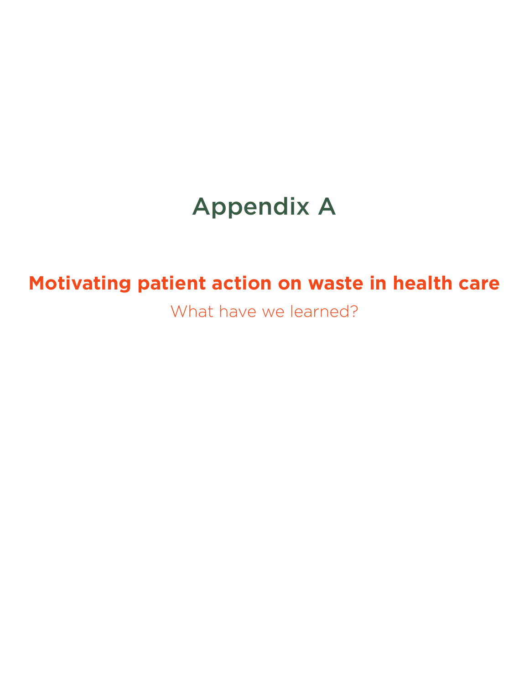## Appendix A

## **Motivating patient action on waste in health care**

What have we learned?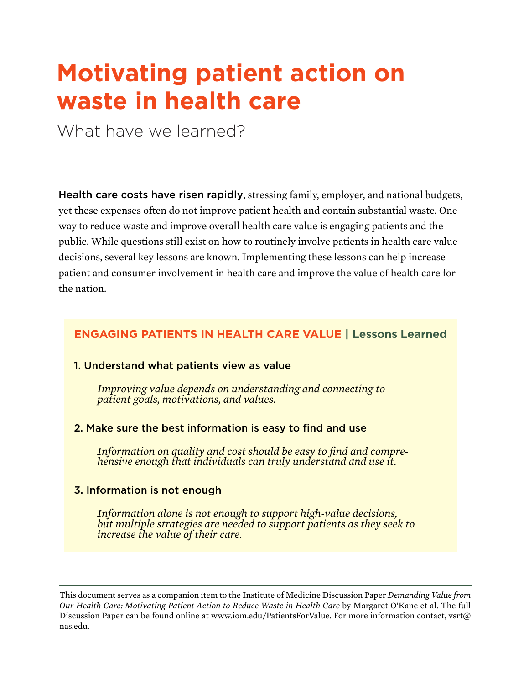## **Motivating patient action on waste in health care**

What have we learned?

Health care costs have risen rapidly, stressing family, employer, and national budgets, yet these expenses often do not improve patient health and contain substantial waste. One way to reduce waste and improve overall health care value is engaging patients and the public. While questions still exist on how to routinely involve patients in health care value decisions, several key lessons are known. Implementing these lessons can help increase patient and consumer involvement in health care and improve the value of health care for the nation.

### **ENGAGING PATIENTS IN HEALTH CARE VALUE | Lessons Learned**

#### 1. Understand what patients view as value

*Improving value depends on understanding and connecting to patient goals, motivations, and values.* 

#### 2. Make sure the best information is easy to find and use

*Information on quality and cost should be easy to find and compre- hensive enough that individuals can truly understand and use it.* 

#### 3. Information is not enough

*Information alone is not enough to support high-value decisions, but multiple strategies are needed to support patients as they seek to increase the value of their care.* 

This document serves as a companion item to the Institute of Medicine Discussion Paper *Demanding Value from Our Health Care: Motivating Patient Action to Reduce Waste in Health Care* by Margaret O'Kane et al. The full Discussion Paper can be found online at www.iom.edu/PatientsForValue. For more information contact, vsrt $\omega$ nas.edu.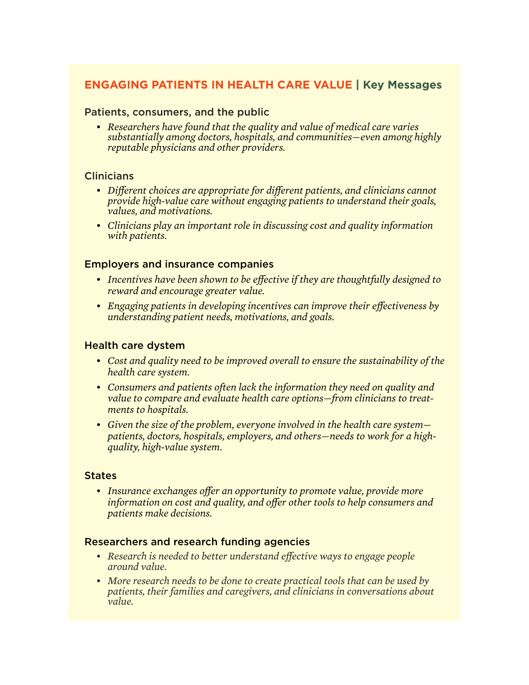### **ENGAGING PATIENTS IN HEALTH CARE VALUE | Key Messages**

#### Patients, consumers, and the public

*• Researchers have found that the quality and value of medical care varies substantially among doctors, hospitals, and communities—even among highly reputable physicians and other providers.* 

#### **Clinicians**

- *• Different choices are appropriate for different patients, and clinicians cannot provide high-value care without engaging patients to understand their goals, values, and motivations.*
- *• Clinicians play an important role in discussing cost and quality information with patients.*

#### Employers and insurance companies

- *• Incentives have been shown to be effective if they are thoughtfully designed to reward and encourage greater value.*
- *• Engaging patients in developing incentives can improve their effectiveness by understanding patient needs, motivations, and goals.*

#### Health care dystem

- *• Cost and quality need to be improved overall to ensure the sustainability of the health care system.*
- *• Consumers and patients often lack the information they need on quality and value to compare and evaluate health care options—from clinicians to treatments to hospitals.*
- *• Given the size of the problem, everyone involved in the health care system patients, doctors, hospitals, employers, and others—needs to work for a highquality, high-value system.*

#### **States**

*• Insurance exchanges offer an opportunity to promote value, provide more information on cost and quality, and offer other tools to help consumers and patients make decisions.*

#### Researchers and research funding agencies

- *• Research is needed to better understand effective ways to engage people around value.*
- *• More research needs to be done to create practical tools that can be used by patients, their families and caregivers, and clinicians in conversations about value.*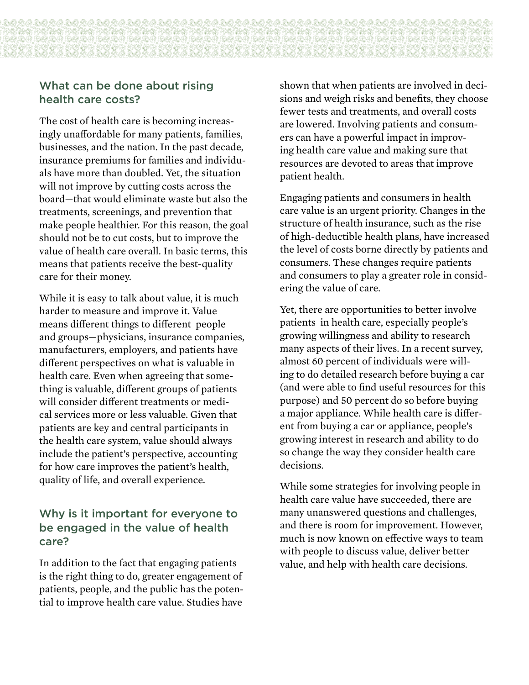## What can be done about rising health care costs?

The cost of health care is becoming increasingly unaffordable for many patients, families, businesses, and the nation. In the past decade, insurance premiums for families and individuals have more than doubled. Yet, the situation will not improve by cutting costs across the board—that would eliminate waste but also the treatments, screenings, and prevention that make people healthier. For this reason, the goal should not be to cut costs, but to improve the value of health care overall. In basic terms, this means that patients receive the best-quality care for their money.

While it is easy to talk about value, it is much harder to measure and improve it. Value means different things to different people and groups—physicians, insurance companies, manufacturers, employers, and patients have different perspectives on what is valuable in health care. Even when agreeing that something is valuable, different groups of patients will consider different treatments or medical services more or less valuable. Given that patients are key and central participants in the health care system, value should always include the patient's perspective, accounting for how care improves the patient's health, quality of life, and overall experience.

## Why is it important for everyone to be engaged in the value of health care?

In addition to the fact that engaging patients is the right thing to do, greater engagement of patients, people, and the public has the potential to improve health care value. Studies have

shown that when patients are involved in decisions and weigh risks and benefits, they choose fewer tests and treatments, and overall costs are lowered. Involving patients and consumers can have a powerful impact in improving health care value and making sure that resources are devoted to areas that improve patient health.

Engaging patients and consumers in health care value is an urgent priority. Changes in the structure of health insurance, such as the rise of high-deductible health plans, have increased the level of costs borne directly by patients and consumers. These changes require patients and consumers to play a greater role in considering the value of care.

Yet, there are opportunities to better involve patients in health care, especially people's growing willingness and ability to research many aspects of their lives. In a recent survey, almost 60 percent of individuals were willing to do detailed research before buying a car (and were able to find useful resources for this purpose) and 50 percent do so before buying a major appliance. While health care is different from buying a car or appliance, people's growing interest in research and ability to do so change the way they consider health care decisions.

While some strategies for involving people in health care value have succeeded, there are many unanswered questions and challenges, and there is room for improvement. However, much is now known on effective ways to team with people to discuss value, deliver better value, and help with health care decisions.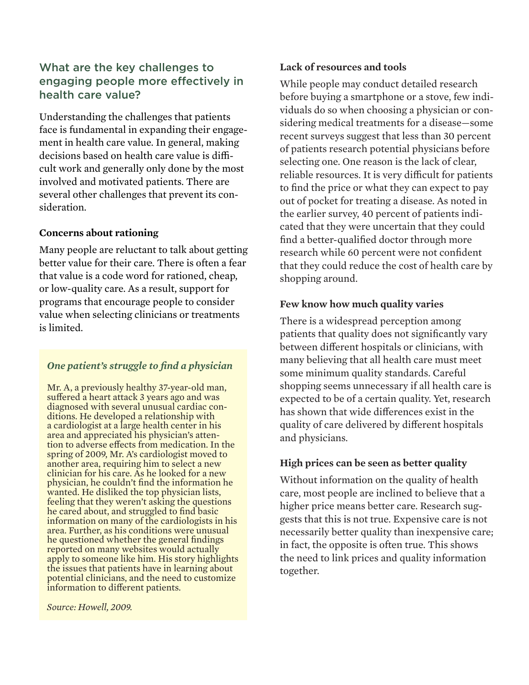## What are the key challenges to engaging people more effectively in health care value?

Understanding the challenges that patients face is fundamental in expanding their engagement in health care value. In general, making decisions based on health care value is difficult work and generally only done by the most involved and motivated patients. There are several other challenges that prevent its consideration.

#### **Concerns about rationing**

Many people are reluctant to talk about getting better value for their care. There is often a fear that value is a code word for rationed, cheap, or low-quality care. As a result, support for programs that encourage people to consider value when selecting clinicians or treatments is limited.

#### *One patient's struggle to find a physician*

Mr. A, a previously healthy 37-year-old man, suffered a heart attack 3 years ago and was diagnosed with several unusual cardiac conditions. He developed a relationship with a cardiologist at a large health center in his area and appreciated his physician's attention to adverse effects from medication. In the spring of 2009, Mr. A's cardiologist moved to another area, requiring him to select a new clinician for his care. As he looked for a new physician, he couldn't find the information he wanted. He disliked the top physician lists, feeling that they weren't asking the questions he cared about, and struggled to find basic information on many of the cardiologists in his area. Further, as his conditions were unusual he questioned whether the general findings reported on many websites would actually apply to someone like him. His story highlights the issues that patients have in learning about potential clinicians, and the need to customize information to different patients.

*Source: Howell, 2009.*

#### **Lack of resources and tools**

While people may conduct detailed research before buying a smartphone or a stove, few individuals do so when choosing a physician or considering medical treatments for a disease—some recent surveys suggest that less than 30 percent of patients research potential physicians before selecting one. One reason is the lack of clear, reliable resources. It is very difficult for patients to find the price or what they can expect to pay out of pocket for treating a disease. As noted in the earlier survey, 40 percent of patients indicated that they were uncertain that they could find a better-qualified doctor through more research while 60 percent were not confident that they could reduce the cost of health care by shopping around.

#### **Few know how much quality varies**

There is a widespread perception among patients that quality does not significantly vary between different hospitals or clinicians, with many believing that all health care must meet some minimum quality standards. Careful shopping seems unnecessary if all health care is expected to be of a certain quality. Yet, research has shown that wide differences exist in the quality of care delivered by different hospitals and physicians.

#### **High prices can be seen as better quality**

Without information on the quality of health care, most people are inclined to believe that a higher price means better care. Research suggests that this is not true. Expensive care is not necessarily better quality than inexpensive care; in fact, the opposite is often true. This shows the need to link prices and quality information together.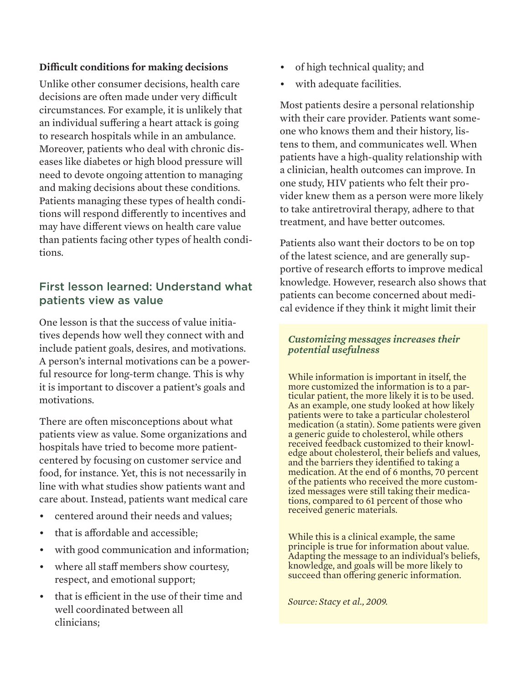#### **Difficult conditions for making decisions**

Unlike other consumer decisions, health care decisions are often made under very difficult circumstances. For example, it is unlikely that an individual suffering a heart attack is going to research hospitals while in an ambulance. Moreover, patients who deal with chronic diseases like diabetes or high blood pressure will need to devote ongoing attention to managing and making decisions about these conditions. Patients managing these types of health conditions will respond differently to incentives and may have different views on health care value than patients facing other types of health conditions.

### First lesson learned: Understand what patients view as value

One lesson is that the success of value initiatives depends how well they connect with and include patient goals, desires, and motivations. A person's internal motivations can be a powerful resource for long-term change. This is why it is important to discover a patient's goals and motivations.

There are often misconceptions about what patients view as value. Some organizations and hospitals have tried to become more patientcentered by focusing on customer service and food, for instance. Yet, this is not necessarily in line with what studies show patients want and care about. Instead, patients want medical care

- centered around their needs and values:
- that is affordable and accessible;
- with good communication and information;
- where all staff members show courtesy, respect, and emotional support;
- that is efficient in the use of their time and well coordinated between all clinicians;
- of high technical quality; and
- with adequate facilities.

Most patients desire a personal relationship with their care provider. Patients want someone who knows them and their history, listens to them, and communicates well. When patients have a high-quality relationship with a clinician, health outcomes can improve. In one study, HIV patients who felt their provider knew them as a person were more likely to take antiretroviral therapy, adhere to that treatment, and have better outcomes.

Patients also want their doctors to be on top of the latest science, and are generally supportive of research efforts to improve medical knowledge. However, research also shows that patients can become concerned about medical evidence if they think it might limit their

#### *Customizing messages increases their potential usefulness*

While information is important in itself, the more customized the information is to a particular patient, the more likely it is to be used. As an example, one study looked at how likely patients were to take a particular cholesterol medication (a statin). Some patients were given a generic guide to cholesterol, while others received feedback customized to their knowledge about cholesterol, their beliefs and values, and the barriers they identified to taking a medication. At the end of 6 months, 70 percent<br>of the patients who received the more customized messages were still taking their medica-<br>tions, compared to 61 percent of those who received generic materials.

While this is a clinical example, the same principle is true for information about value. Adapting the message to an individual's beliefs, knowledge, and goals will be more likely to succeed than offering generic information.

*Source: Stacy et al., 2009.*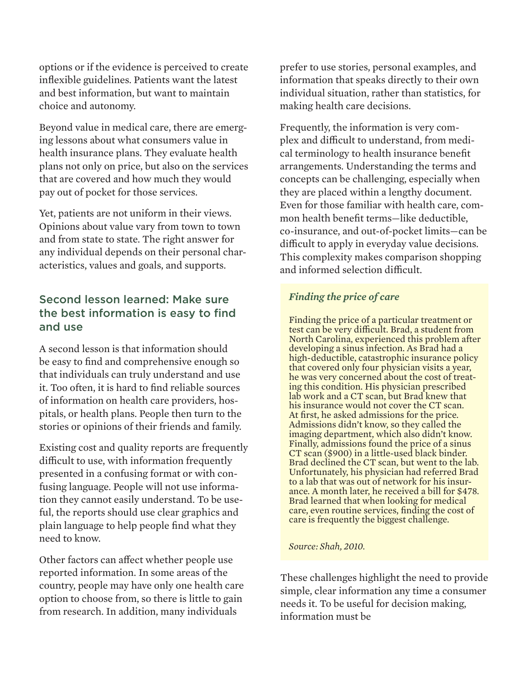options or if the evidence is perceived to create inflexible guidelines. Patients want the latest and best information, but want to maintain choice and autonomy.

Beyond value in medical care, there are emerging lessons about what consumers value in health insurance plans. They evaluate health plans not only on price, but also on the services that are covered and how much they would pay out of pocket for those services.

Yet, patients are not uniform in their views. Opinions about value vary from town to town and from state to state. The right answer for any individual depends on their personal characteristics, values and goals, and supports.

## Second lesson learned: Make sure the best information is easy to find and use

A second lesson is that information should be easy to find and comprehensive enough so that individuals can truly understand and use it. Too often, it is hard to find reliable sources of information on health care providers, hospitals, or health plans. People then turn to the stories or opinions of their friends and family.

Existing cost and quality reports are frequently difficult to use, with information frequently presented in a confusing format or with confusing language. People will not use information they cannot easily understand. To be useful, the reports should use clear graphics and plain language to help people find what they need to know.

Other factors can affect whether people use reported information. In some areas of the country, people may have only one health care option to choose from, so there is little to gain from research. In addition, many individuals

prefer to use stories, personal examples, and information that speaks directly to their own individual situation, rather than statistics, for making health care decisions.

Frequently, the information is very complex and difficult to understand, from medical terminology to health insurance benefit arrangements. Understanding the terms and concepts can be challenging, especially when they are placed within a lengthy document. Even for those familiar with health care, common health benefit terms—like deductible, co-insurance, and out-of-pocket limits—can be difficult to apply in everyday value decisions. This complexity makes comparison shopping and informed selection difficult.

### *Finding the price of care*

Finding the price of a particular treatment or test can be very difficult. Brad, a student from North Carolina, experienced this problem after developing a sinus infection. As Brad had a high-deductible, catastrophic insurance policy that covered only four physician visits a year, he was very concerned about the cost of treating this condition. His physician prescribed lab work and a CT scan, but Brad knew that his insurance would not cover the CT scan. At first, he asked admissions for the price. Admissions didn't know, so they called the imaging department, which also didn't know. Finally, admissions found the price of a sinus CT scan (\$900) in a little-used black binder. Brad declined the CT scan, but went to the lab. Unfortunately, his physician had referred Brad to a lab that was out of network for his insurance. A month later, he received a bill for \$478. Brad learned that when looking for medical care, even routine services, finding the cost of care is frequently the biggest challenge.

*Source: Shah, 2010.*

These challenges highlight the need to provide simple, clear information any time a consumer needs it. To be useful for decision making, information must be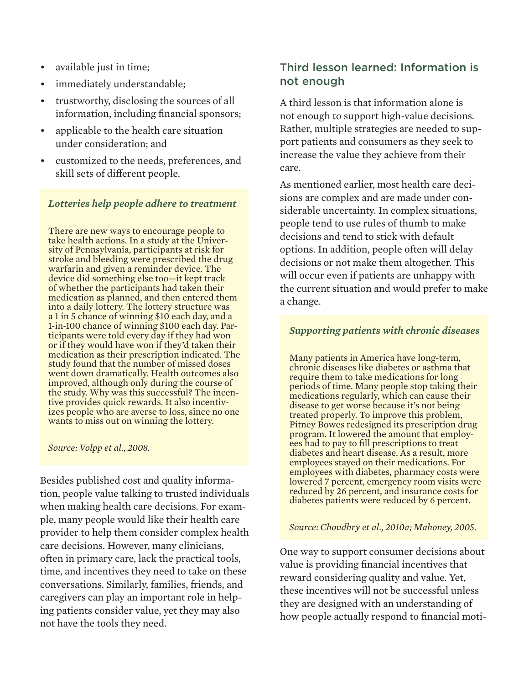- available just in time;
- immediately understandable;
- trustworthy, disclosing the sources of all information, including financial sponsors;
- applicable to the health care situation under consideration; and
- • customized to the needs, preferences, and skill sets of different people.

#### *Lotteries help people adhere to treatment*

There are new ways to encourage people to take health actions. In a study at the University of Pennsylvania, participants at risk for stroke and bleeding were prescribed the drug warfarin and given a reminder device. The device did something else too—it kept track of whether the participants had taken their medication as planned, and then entered them into a daily lottery. The lottery structure was a 1 in 5 chance of winning \$10 each day, and a 1-in-100 chance of winning \$100 each day. Participants were told every day if they had won or if they would have won if they'd taken their medication as their prescription indicated. The study found that the number of missed doses went down dramatically. Health outcomes also improved, although only during the course of the study. Why was this successful? The incentive provides quick rewards. It also incentivizes people who are averse to loss, since no one wants to miss out on winning the lottery.

#### *Source: Volpp et al., 2008.*

Besides published cost and quality information, people value talking to trusted individuals when making health care decisions. For example, many people would like their health care provider to help them consider complex health care decisions. However, many clinicians, often in primary care, lack the practical tools, time, and incentives they need to take on these conversations. Similarly, families, friends, and caregivers can play an important role in helping patients consider value, yet they may also not have the tools they need.

### Third lesson learned: Information is not enough

A third lesson is that information alone is not enough to support high-value decisions. Rather, multiple strategies are needed to support patients and consumers as they seek to increase the value they achieve from their care.

As mentioned earlier, most health care decisions are complex and are made under considerable uncertainty. In complex situations, people tend to use rules of thumb to make decisions and tend to stick with default options. In addition, people often will delay decisions or not make them altogether. This will occur even if patients are unhappy with the current situation and would prefer to make a change.

#### *Supporting patients with chronic diseases*

Many patients in America have long-term, chronic diseases like diabetes or asthma that require them to take medications for long periods of time. Many people stop taking their medications regularly, which can cause their disease to get worse because it's not being treated properly. To improve this problem, Pitney Bowes redesigned its prescription drug program. It lowered the amount that employees had to pay to fill prescriptions to treat diabetes and heart disease. As a result, more employees stayed on their medications. For employees with diabetes, pharmacy costs were lowered 7 percent, emergency room visits were reduced by 26 percent, and insurance costs for diabetes patients were reduced by 6 percent.

#### *Source: Choudhry et al., 2010a; Mahoney, 2005.*

One way to support consumer decisions about value is providing financial incentives that reward considering quality and value. Yet, these incentives will not be successful unless they are designed with an understanding of how people actually respond to financial moti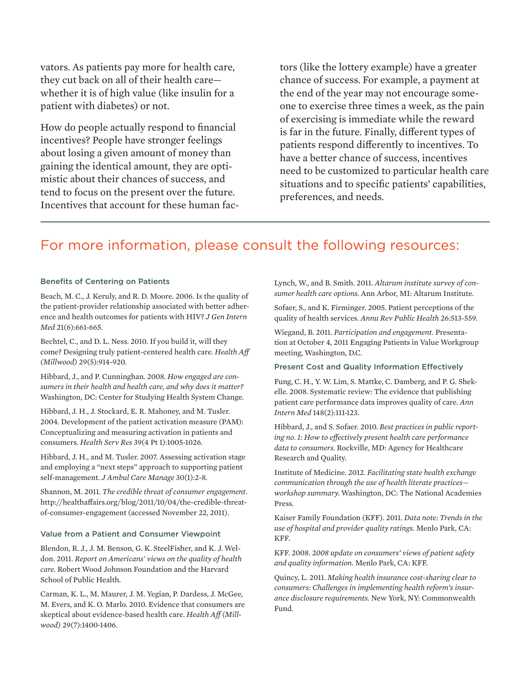vators. As patients pay more for health care, they cut back on all of their health care whether it is of high value (like insulin for a patient with diabetes) or not.

How do people actually respond to financial incentives? People have stronger feelings about losing a given amount of money than gaining the identical amount, they are optimistic about their chances of success, and tend to focus on the present over the future. Incentives that account for these human factors (like the lottery example) have a greater chance of success. For example, a payment at the end of the year may not encourage someone to exercise three times a week, as the pain of exercising is immediate while the reward is far in the future. Finally, different types of patients respond differently to incentives. To have a better chance of success, incentives need to be customized to particular health care situations and to specific patients' capabilities, preferences, and needs.

## For more information, please consult the following resources:

#### Benefits of Centering on Patients

Beach, M. C., J. Keruly, and R. D. Moore. 2006. Is the quality of the patient-provider relationship associated with better adherence and health outcomes for patients with HIV? *J Gen Intern Med* 21(6):661-665.

Bechtel, C., and D. L. Ness. 2010. If you build it, will they come? Designing truly patient-centered health care. *Health Aff (Millwood)* 29(5):914-920.

Hibbard, J., and P. Cunninghan. 2008. *How engaged are consumers in their health and health care, and why does it matter?* Washington, DC: Center for Studying Health System Change.

Hibbard, J. H., J. Stockard, E. R. Mahoney, and M. Tusler. 2004. Development of the patient activation measure (PAM): Conceptualizing and measuring activation in patients and consumers. *Health Serv Res* 39(4 Pt 1):1005-1026.

Hibbard, J. H., and M. Tusler. 2007. Assessing activation stage and employing a "next steps" approach to supporting patient self-management. *J Ambul Care Manage* 30(1):2-8.

Shannon, M. 2011. *The credible threat of consumer engagement*. http://healthaffairs.org/blog/2011/10/04/the-credible-threatof-consumer-engagement (accessed November 22, 2011).

#### Value from a Patient and Consumer Viewpoint

Blendon, R. J., J. M. Benson, G. K. SteelFisher, and K. J. Weldon. 2011. *Report on Americans' views on the quality of health care.* Robert Wood Johnson Foundation and the Harvard School of Public Health.

Carman, K. L., M. Maurer, J. M. Yegian, P. Dardess, J. McGee, M. Evers, and K. O. Marlo. 2010. Evidence that consumers are skeptical about evidence-based health care. *Health Aff (Millwood)* 29(7):1400-1406.

Lynch, W., and B. Smith. 2011. *Altarum institute survey of consumer health care options.* Ann Arbor, MI: Altarum Institute.

Sofaer, S., and K. Firminger. 2005. Patient perceptions of the quality of health services. *Annu Rev Public Health* 26:513-559.

Wiegand, B. 2011. *Participation and engagement.* Presentation at October 4, 2011 Engaging Patients in Value Workgroup meeting, Washington, D.C.

#### Present Cost and Quality Information Effectively

Fung, C. H., Y. W. Lim, S. Mattke, C. Damberg, and P. G. Shekelle. 2008. Systematic review: The evidence that publishing patient care performance data improves quality of care. *Ann Intern Med* 148(2):111-123.

Hibbard, J., and S. Sofaer. 2010. *Best practices in public reporting no. 1: How to effectively present health care performance data to consumers.* Rockville, MD: Agency for Healthcare Research and Quality.

Institute of Medicine. 2012. *Facilitating state health exchange communication through the use of health literate practices workshop summary.* Washington, DC: The National Academies Press.

Kaiser Family Foundation (KFF). 2011. *Data note: Trends in the use of hospital and provider quality ratings.* Menlo Park, CA: KFF.

KFF. 2008. 2*008 update on consumers' views of patient safety and quality information.* Menlo Park, CA: KFF.

Quincy, L. 2011. *Making health insurance cost-sharing clear to consumers: Challenges in implementing health reform's insurance disclosure requirements.* New York, NY: Commonwealth Fund.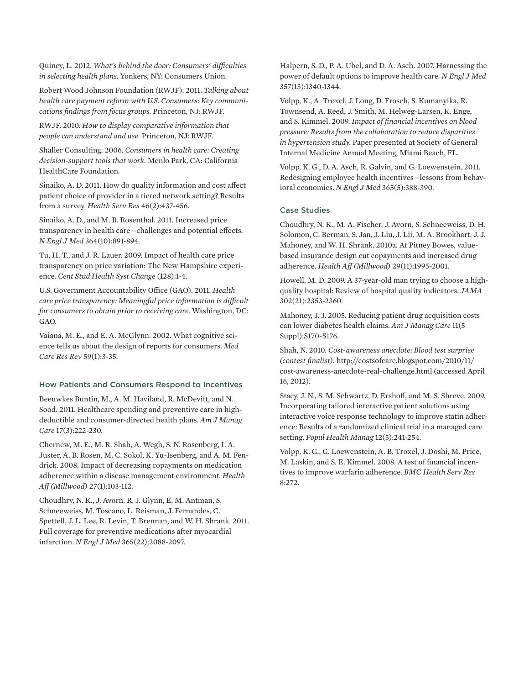Quincy, L. 2012. *What's behind the door: Consumers' difficulties in selecting health plans.* Yonkers, NY: Consumers Union.

Robert Wood Johnson Foundation (RWJF). 2011. *Talking about health care payment reform with U.S. Consumers: Key communications findings from focus groups.* Princeton, NJ: RWJF.

RWJF. 2010. *How to display comparative information that people can understand and use.* Princeton, NJ: RWJF.

Shaller Consulting. 2006. *Consumers in health care: Creating decision-support tools that work.* Menlo Park, CA: California HealthCare Foundation.

Sinaiko, A. D. 2011. How do quality information and cost affect patient choice of provider in a tiered network setting? Results from a survey. *Health Serv Res* 46(2):437-456.

Sinaiko, A. D., and M. B. Rosenthal. 2011. Increased price transparency in health care—challenges and potential effects. *N Engl J Med* 364(10):891-894.

Tu, H. T., and J. R. Lauer. 2009. Impact of health care price transparency on price variation: The New Hampshire experience. *Cent Stud Health Syst Change* (128):1-4.

U.S. Government Accountability Office (GAO). 2011. *Health care price transparency: Meaningful price information is difficult for consumers to obtain prior to receiving care.* Washington, DC: GAO.

Vaiana, M. E., and E. A. McGlynn. 2002. What cognitive science tells us about the design of reports for consumers. *Med Care Res Rev* 59(1):3-35.

#### How Patients and Consumers Respond to Incentives

Beeuwkes Buntin, M., A. M. Haviland, R. McDevitt, and N. Sood. 2011. Healthcare spending and preventive care in highdeductible and consumer-directed health plans. *Am J Manag Care* 17(3):222-230.

Chernew, M. E., M. R. Shah, A. Wegh, S. N. Rosenberg, I. A. Juster, A. B. Rosen, M. C. Sokol, K. Yu-Isenberg, and A. M. Fendrick. 2008. Impact of decreasing copayments on medication adherence within a disease management environment. *Health Aff (Millwood)* 27(1):103-112.

Choudhry, N. K., J. Avorn, R. J. Glynn, E. M. Antman, S. Schneeweiss, M. Toscano, L. Reisman, J. Fernandes, C. Spettell, J. L. Lee, R. Levin, T. Brennan, and W. H. Shrank. 2011. Full coverage for preventive medications after myocardial infarction. *N Engl J Med* 365(22):2088-2097.

Halpern, S. D., P. A. Ubel, and D. A. Asch. 2007. Harnessing the power of default options to improve health care. *N Engl J Med* 357(13):1340-1344.

Volpp, K., A. Troxel, J. Long, D. Frosch, S. Kumanyika, R. Townsend, A. Reed, J. Smith, M. Helweg-Larsen, K. Enge, and S. Kimmel. 2009. *Impact of financial incentives on blood pressure: Results from the collaboration to reduce disparities in hypertension study.* Paper presented at Society of General Internal Medicine Annual Meeting, Miami Beach, FL.

Volpp, K. G., D. A. Asch, R. Galvin, and G. Loewenstein. 2011. Redesigning employee health incentives—lessons from behavioral economics. *N Engl J Med* 365(5):388-390.

#### Case Studies

Choudhry, N. K., M. A. Fischer, J. Avorn, S. Schneeweiss, D. H. Solomon, C. Berman, S. Jan, J. Liu, J. Lii, M. A. Brookhart, J. J. Mahoney, and W. H. Shrank. 2010a. At Pitney Bowes, valuebased insurance design cut copayments and increased drug adherence. *Health Aff (Millwood)* 29(11):1995-2001.

Howell, M. D. 2009. A 37-year-old man trying to choose a highquality hospital: Review of hospital quality indicators. *JAMA* 302(21):2353-2360.

Mahoney, J. J. 2005. Reducing patient drug acquisition costs can lower diabetes health claims. *Am J Manag Care* 11(5 Suppl):S170-S176.

Shah, N. 2010. *Cost-awareness anecdote: Blood test surprise (contest finalist).* http://costsofcare.blogspot.com/2010/11/ cost-awareness-anecdote-real-challenge.html (accessed April 16, 2012).

Stacy, J. N., S. M. Schwartz, D. Ershoff, and M. S. Shreve. 2009. Incorporating tailored interactive patient solutions using interactive voice response technology to improve statin adherence: Results of a randomized clinical trial in a managed care setting. *Popul Health Manag* 12(5):241-254.

Volpp, K. G., G. Loewenstein, A. B. Troxel, J. Doshi, M. Price, M. Laskin, and S. E. Kimmel. 2008. A test of financial incentives to improve warfarin adherence. *BMC Health Serv Res*  8:272.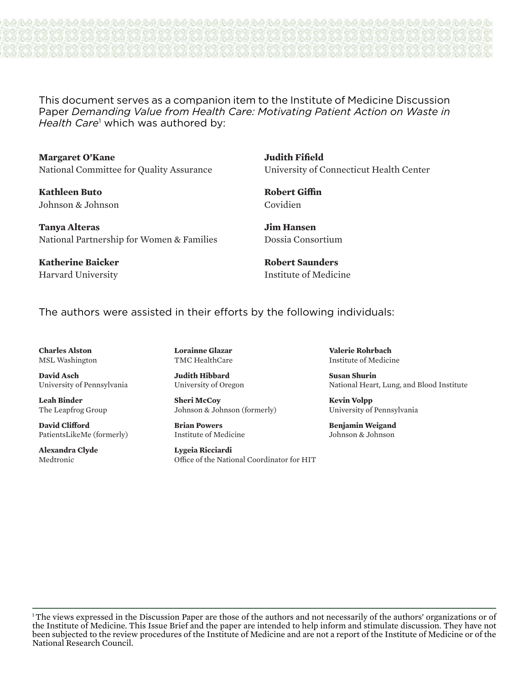This document serves as a companion item to the Institute of Medicine Discussion Paper *Demanding Value from Health Care: Motivating Patient Action on Waste in*  Health Care<sup>1</sup> which was authored by:

**Margaret O'Kane** National Committee for Quality Assurance

**Kathleen Buto** Johnson & Johnson

**Tanya Alteras** National Partnership for Women & Families

**Katherine Baicker** Harvard University **Judith Fifield** University of Connecticut Health Center

**Robert Giffin** Covidien

**Jim Hansen** Dossia Consortium

**Robert Saunders** Institute of Medicine

The authors were assisted in their efforts by the following individuals:

**Charles Alston** MSL Washington

**David Asch** University of Pennsylvania

**Leah Binder** The Leapfrog Group

**David Clifford** PatientsLikeMe (formerly)

**Alexandra Clyde** Medtronic

**Lorainne Glazar** TMC HealthCare

**Judith Hibbard** University of Oregon

**Sheri McCoy** Johnson & Johnson (formerly)

**Brian Powers** Institute of Medicine

**Lygeia Ricciardi** Office of the National Coordinator for HIT

**Valerie Rohrbach** Institute of Medicine

**Susan Shurin** National Heart, Lung, and Blood Institute

**Kevin Volpp** University of Pennsylvania

**Benjamin Weigand** Johnson & Johnson

<sup>1</sup>The views expressed in the Discussion Paper are those of the authors and not necessarily of the authors' organizations or of the Institute of Medicine. This Issue Brief and the paper are intended to help inform and stimulate discussion. They have not been subjected to the review procedures of the Institute of Medicine and are not a report of the Institute of Medicine or of the National Research Council.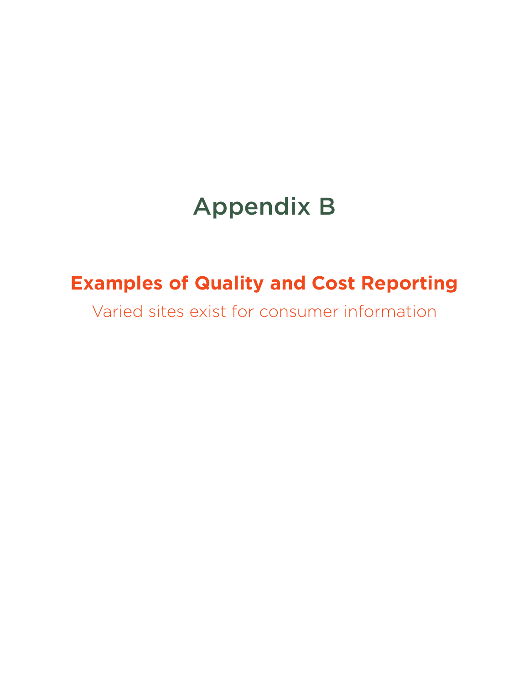# Appendix B

## **Examples of Quality and Cost Reporting**

Varied sites exist for consumer information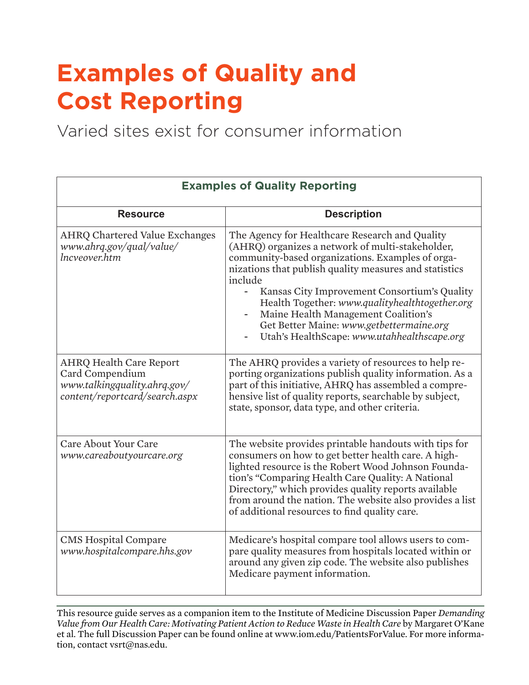# **Examples of Quality and Cost Reporting**

Varied sites exist for consumer information

| <b>Examples of Quality Reporting</b>                                                                                |                                                                                                                                                                                                                                                                                                                                                                                                                                                                 |  |
|---------------------------------------------------------------------------------------------------------------------|-----------------------------------------------------------------------------------------------------------------------------------------------------------------------------------------------------------------------------------------------------------------------------------------------------------------------------------------------------------------------------------------------------------------------------------------------------------------|--|
| <b>Resource</b>                                                                                                     | <b>Description</b>                                                                                                                                                                                                                                                                                                                                                                                                                                              |  |
| <b>AHRQ Chartered Value Exchanges</b><br>www.ahrq.gov/qual/value/<br>Incveover.htm                                  | The Agency for Healthcare Research and Quality<br>(AHRQ) organizes a network of multi-stakeholder,<br>community-based organizations. Examples of orga-<br>nizations that publish quality measures and statistics<br>include<br>Kansas City Improvement Consortium's Quality<br>Health Together: www.qualityhealthtogether.org<br>Maine Health Management Coalition's<br>Get Better Maine: www.getbettermaine.org<br>Utah's HealthScape: www.utahhealthscape.org |  |
| <b>AHRQ Health Care Report</b><br>Card Compendium<br>www.talkingquality.ahrq.gov/<br>content/reportcard/search.aspx | The AHRQ provides a variety of resources to help re-<br>porting organizations publish quality information. As a<br>part of this initiative, AHRQ has assembled a compre-<br>hensive list of quality reports, searchable by subject,<br>state, sponsor, data type, and other criteria.                                                                                                                                                                           |  |
| <b>Care About Your Care</b><br>www.careaboutyourcare.org                                                            | The website provides printable handouts with tips for<br>consumers on how to get better health care. A high-<br>lighted resource is the Robert Wood Johnson Founda-<br>tion's "Comparing Health Care Quality: A National<br>Directory," which provides quality reports available<br>from around the nation. The website also provides a list<br>of additional resources to find quality care.                                                                   |  |
| <b>CMS Hospital Compare</b><br>www.hospitalcompare.hhs.gov                                                          | Medicare's hospital compare tool allows users to com-<br>pare quality measures from hospitals located within or<br>around any given zip code. The website also publishes<br>Medicare payment information.                                                                                                                                                                                                                                                       |  |

This resource guide serves as a companion item to the Institute of Medicine Discussion Paper *Demanding Value from Our Health Care: Motivating Patient Action to Reduce Waste in Health Care* by Margaret O'Kane et al. The full Discussion Paper can be found online at www.iom.edu/PatientsForValue. For more information, contact vsrt@nas.edu.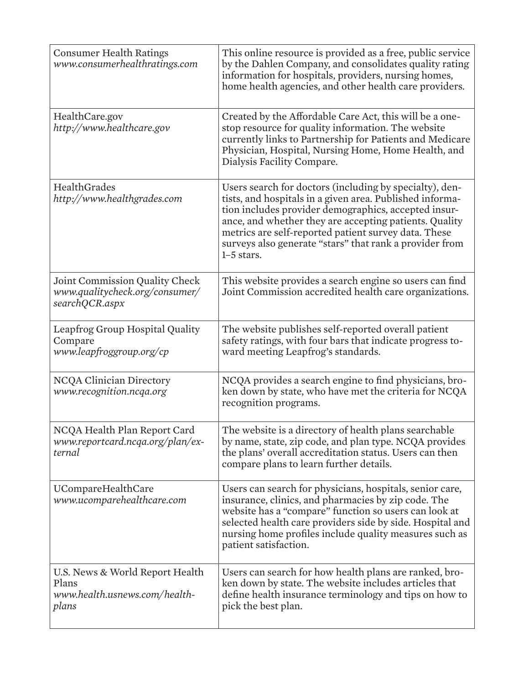| <b>Consumer Health Ratings</b><br>www.consumerhealthratings.com                    | This online resource is provided as a free, public service<br>by the Dahlen Company, and consolidates quality rating<br>information for hospitals, providers, nursing homes,<br>home health agencies, and other health care providers.                                                                                                                                   |
|------------------------------------------------------------------------------------|--------------------------------------------------------------------------------------------------------------------------------------------------------------------------------------------------------------------------------------------------------------------------------------------------------------------------------------------------------------------------|
| HealthCare.gov<br>http://www.healthcare.gov                                        | Created by the Affordable Care Act, this will be a one-<br>stop resource for quality information. The website<br>currently links to Partnership for Patients and Medicare<br>Physician, Hospital, Nursing Home, Home Health, and<br>Dialysis Facility Compare.                                                                                                           |
| HealthGrades<br>http://www.healthgrades.com                                        | Users search for doctors (including by specialty), den-<br>tists, and hospitals in a given area. Published informa-<br>tion includes provider demographics, accepted insur-<br>ance, and whether they are accepting patients. Quality<br>metrics are self-reported patient survey data. These<br>surveys also generate "stars" that rank a provider from<br>$1-5$ stars. |
| Joint Commission Quality Check<br>www.qualitycheck.org/consumer/<br>searchQCR.aspx | This website provides a search engine so users can find<br>Joint Commission accredited health care organizations.                                                                                                                                                                                                                                                        |
| Leapfrog Group Hospital Quality<br>Compare<br>www.leapfroggroup.org/cp             | The website publishes self-reported overall patient<br>safety ratings, with four bars that indicate progress to-<br>ward meeting Leapfrog's standards.                                                                                                                                                                                                                   |
| <b>NCQA Clinician Directory</b><br>www.recognition.ncqa.org                        | NCQA provides a search engine to find physicians, bro-<br>ken down by state, who have met the criteria for NCQA<br>recognition programs.                                                                                                                                                                                                                                 |
| NCQA Health Plan Report Card<br>www.reportcard.ncqa.org/plan/ex-<br>ternal         | The website is a directory of health plans searchable<br>by name, state, zip code, and plan type. NCQA provides<br>the plans' overall accreditation status. Users can then<br>compare plans to learn further details.                                                                                                                                                    |
| UCompareHealthCare<br>www.ucomparehealthcare.com                                   | Users can search for physicians, hospitals, senior care,<br>insurance, clinics, and pharmacies by zip code. The<br>website has a "compare" function so users can look at<br>selected health care providers side by side. Hospital and<br>nursing home profiles include quality measures such as<br>patient satisfaction.                                                 |
| U.S. News & World Report Health<br>Plans<br>www.health.usnews.com/health-<br>plans | Users can search for how health plans are ranked, bro-<br>ken down by state. The website includes articles that<br>define health insurance terminology and tips on how to<br>pick the best plan.                                                                                                                                                                         |